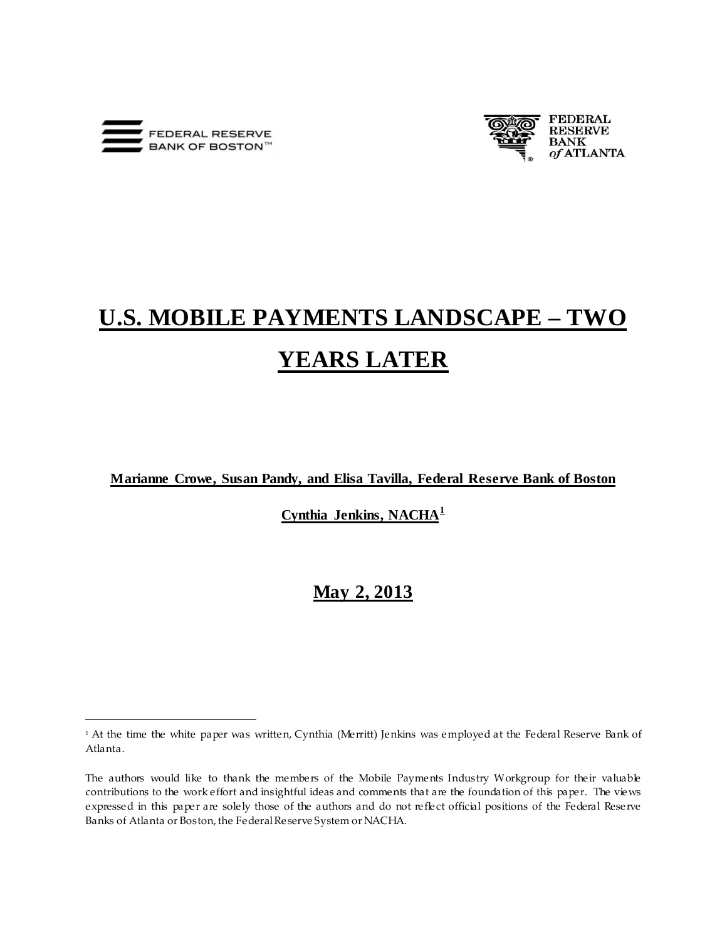

 $\overline{a}$ 



# **U.S. MOBILE PAYMENTS LANDSCAPE – TWO YEARS LATER**

**Marianne Crowe, Susan Pandy, and Elisa Tavilla, Federal Reserve Bank of Boston**

**Cynthia Jenkins, NACHA[1](#page-0-0)**

# **May 2, 2013**

<span id="page-0-0"></span><sup>&</sup>lt;sup>1</sup> At the time the white paper was written, Cynthia (Merritt) Jenkins was employed at the Federal Reserve Bank of Atlanta.

The authors would like to thank the members of the Mobile Payments Industry Workgroup for their valuable contributions to the work effort and insightful ideas and comments that are the foundation of this paper. The views expressed in this paper are solely those of the authors and do not reflect official positions of the Federal Reserve Banks of Atlanta or Boston, the Federal Reserve System or NACHA.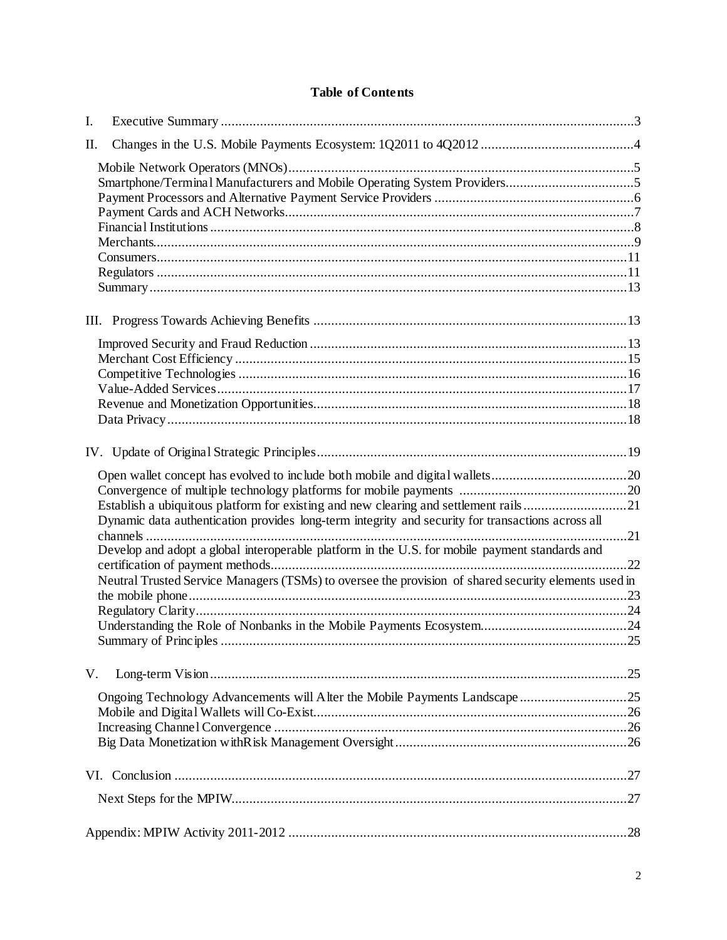# **Table of Contents**

| I. |                                                                                                      |     |  |
|----|------------------------------------------------------------------------------------------------------|-----|--|
| П. |                                                                                                      |     |  |
|    |                                                                                                      |     |  |
|    |                                                                                                      |     |  |
|    |                                                                                                      |     |  |
|    |                                                                                                      |     |  |
|    |                                                                                                      |     |  |
|    |                                                                                                      |     |  |
|    |                                                                                                      |     |  |
|    |                                                                                                      |     |  |
|    |                                                                                                      |     |  |
|    |                                                                                                      |     |  |
|    |                                                                                                      |     |  |
|    |                                                                                                      |     |  |
|    |                                                                                                      |     |  |
|    |                                                                                                      |     |  |
|    |                                                                                                      |     |  |
|    |                                                                                                      |     |  |
|    |                                                                                                      |     |  |
|    |                                                                                                      |     |  |
|    |                                                                                                      |     |  |
|    |                                                                                                      |     |  |
|    | Establish a ubiquitous platform for existing and new clearing and settlement rails21                 |     |  |
|    | Dynamic data authentication provides long-term integrity and security for transactions across all    |     |  |
|    |                                                                                                      |     |  |
|    | Develop and adopt a global interoperable platform in the U.S. for mobile payment standards and       |     |  |
|    |                                                                                                      |     |  |
|    | Neutral Trusted Service Managers (TSMs) to oversee the provision of shared security elements used in |     |  |
|    |                                                                                                      |     |  |
|    |                                                                                                      |     |  |
|    | Summary of Principles                                                                                | .25 |  |
|    |                                                                                                      |     |  |
| V. |                                                                                                      |     |  |
|    | Ongoing Technology Advancements will Alter the Mobile Payments Landscape25                           |     |  |
|    |                                                                                                      |     |  |
|    |                                                                                                      |     |  |
|    |                                                                                                      |     |  |
|    |                                                                                                      |     |  |
|    |                                                                                                      |     |  |
|    |                                                                                                      |     |  |
|    |                                                                                                      |     |  |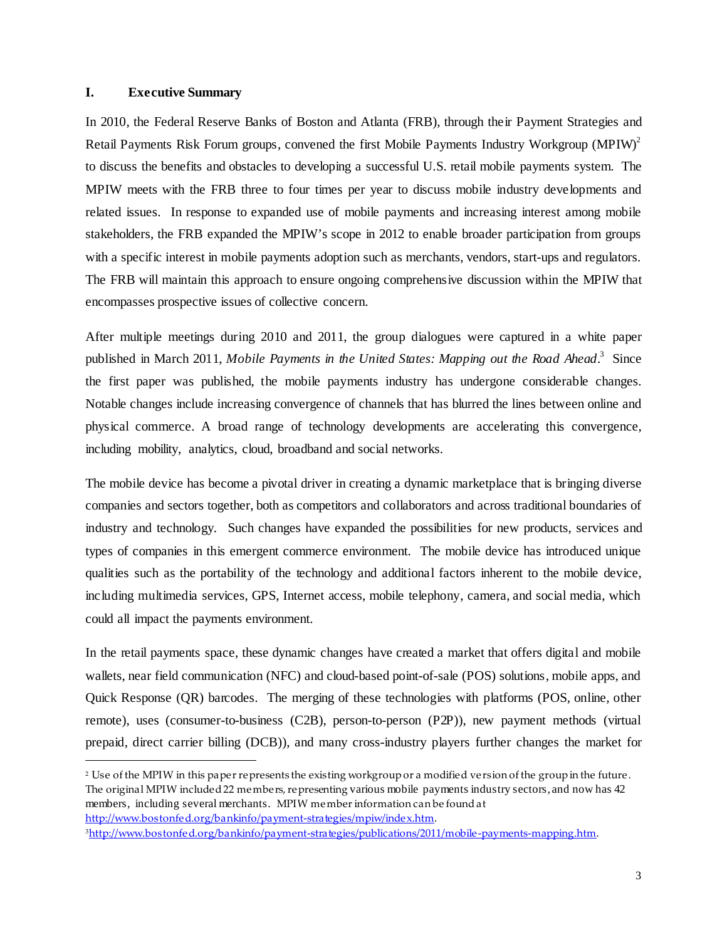# <span id="page-2-0"></span>**I. Executive Summary**

 $\overline{a}$ 

In 2010, the Federal Reserve Banks of Boston and Atlanta (FRB), through their Payment Strategies and Retail Payments Risk Forum groups, convened the first Mobile Payments Industry Workgroup  $(MPIW)^2$ to discuss the benefits and obstacles to developing a successful U.S. retail mobile payments system. The MPIW meets with the FRB three to four times per year to discuss mobile industry developments and related issues. In response to expanded use of mobile payments and increasing interest among mobile stakeholders, the FRB expanded the MPIW's scope in 2012 to enable broader participation from groups with a specific interest in mobile payments adoption such as merchants, vendors, start-ups and regulators. The FRB will maintain this approach to ensure ongoing comprehensive discussion within the MPIW that encompasses prospective issues of collective concern.

After multiple meetings during 2010 and 2011, the group dialogues were captured in a white paper published in March 2011, *Mobile Payments in the United States: Mapping out the Road Ahead*. [3](#page-2-2) Since the first paper was published, the mobile payments industry has undergone considerable changes. Notable changes include increasing convergence of channels that has blurred the lines between online and physical commerce. A broad range of technology developments are accelerating this convergence, including mobility, analytics, cloud, broadband and social networks.

The mobile device has become a pivotal driver in creating a dynamic marketplace that is bringing diverse companies and sectors together, both as competitors and collaborators and across traditional boundaries of industry and technology. Such changes have expanded the possibilities for new products, services and types of companies in this emergent commerce environment. The mobile device has introduced unique qualities such as the portability of the technology and additional factors inherent to the mobile device, including multimedia services, GPS, Internet access, mobile telephony, camera, and social media, which could all impact the payments environment.

In the retail payments space, these dynamic changes have created a market that offers digital and mobile wallets, near field communication (NFC) and cloud-based point-of-sale (POS) solutions, mobile apps, and Quick Response (QR) barcodes. The merging of these technologies with platforms (POS, online, other remote), uses (consumer-to-business (C2B), person-to-person (P2P)), new payment methods (virtual prepaid, direct carrier billing (DCB)), and many cross-industry players further changes the market for

<span id="page-2-1"></span><sup>2</sup> Use of the MPIW in this paper represents the existing workgroup or a modified version of the group in the future. The original MPIW included 22 members, representing various mobile payments industry sectors, and now has 42 members, including several merchants. MPIW member information can be found at <http://www.bostonfed.org/bankinfo/payment-strategies/mpiw/index.htm>.

<span id="page-2-2"></span>[<sup>3</sup>http://www.bostonfed.org/bankinfo/payment-strategies/publications/2011/mobile-payments-mapping.htm](http://www.bostonfed.org/bankinfo/payment-strategies/publications/2011/mobile-payments-mapping.htm).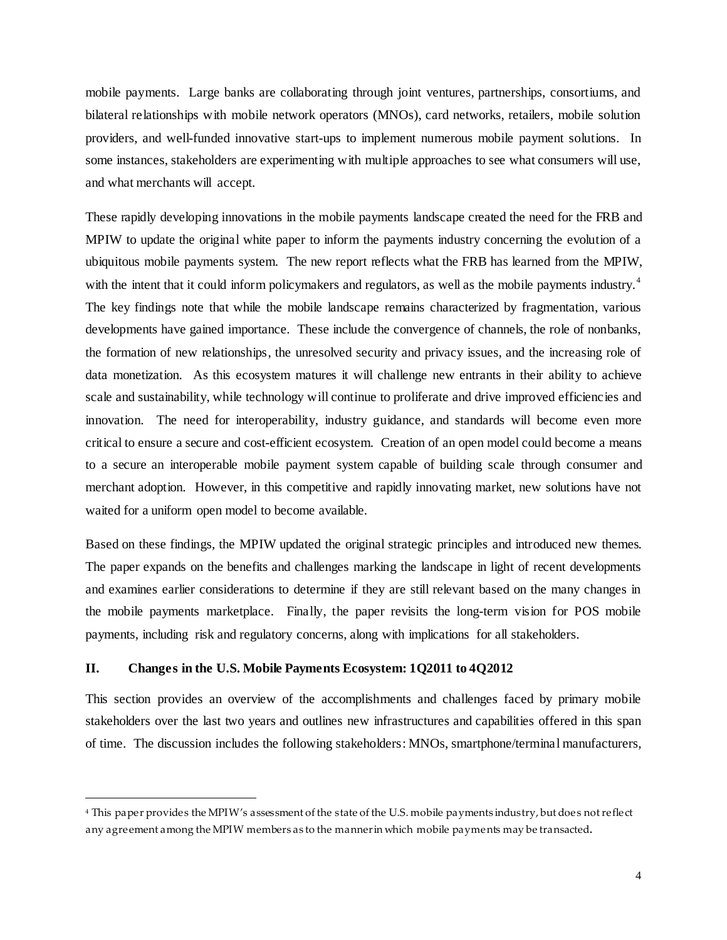mobile payments. Large banks are collaborating through joint ventures, partnerships, consortiums, and bilateral relationships with mobile network operators (MNOs), card networks, retailers, mobile solution providers, and well-funded innovative start-ups to implement numerous mobile payment solutions. In some instances, stakeholders are experimenting with multiple approaches to see what consumers will use, and what merchants will accept.

These rapidly developing innovations in the mobile payments landscape created the need for the FRB and MPIW to update the original white paper to inform the payments industry concerning the evolution of a ubiquitous mobile payments system. The new report reflects what the FRB has learned from the MPIW, with the intent that it could inform policymakers and regulators, as well as the mobile payments industry.<sup>[4](#page-3-1)</sup> The key findings note that while the mobile landscape remains characterized by fragmentation, various developments have gained importance. These include the convergence of channels, the role of nonbanks, the formation of new relationships, the unresolved security and privacy issues, and the increasing role of data monetization. As this ecosystem matures it will challenge new entrants in their ability to achieve scale and sustainability, while technology will continue to proliferate and drive improved efficiencies and innovation. The need for interoperability, industry guidance, and standards will become even more critical to ensure a secure and cost-efficient ecosystem. Creation of an open model could become a means to a secure an interoperable mobile payment system capable of building scale through consumer and merchant adoption. However, in this competitive and rapidly innovating market, new solutions have not waited for a uniform open model to become available.

Based on these findings, the MPIW updated the original strategic principles and introduced new themes. The paper expands on the benefits and challenges marking the landscape in light of recent developments and examines earlier considerations to determine if they are still relevant based on the many changes in the mobile payments marketplace. Finally, the paper revisits the long-term vision for POS mobile payments, including risk and regulatory concerns, along with implications for all stakeholders.

# <span id="page-3-0"></span>**II. Changes in the U.S. Mobile Payments Ecosystem: 1Q2011 to 4Q2012**

 $\overline{a}$ 

This section provides an overview of the accomplishments and challenges faced by primary mobile stakeholders over the last two years and outlines new infrastructures and capabilities offered in this span of time. The discussion includes the following stakeholders: MNOs, smartphone/terminal manufacturers,

<span id="page-3-1"></span><sup>4</sup> This paper provides the MPIW's assessment of the state of the U.S. mobile payments industry, but does not reflect any agreement among the MPIW members as to the manner in which mobile payments may be transacted.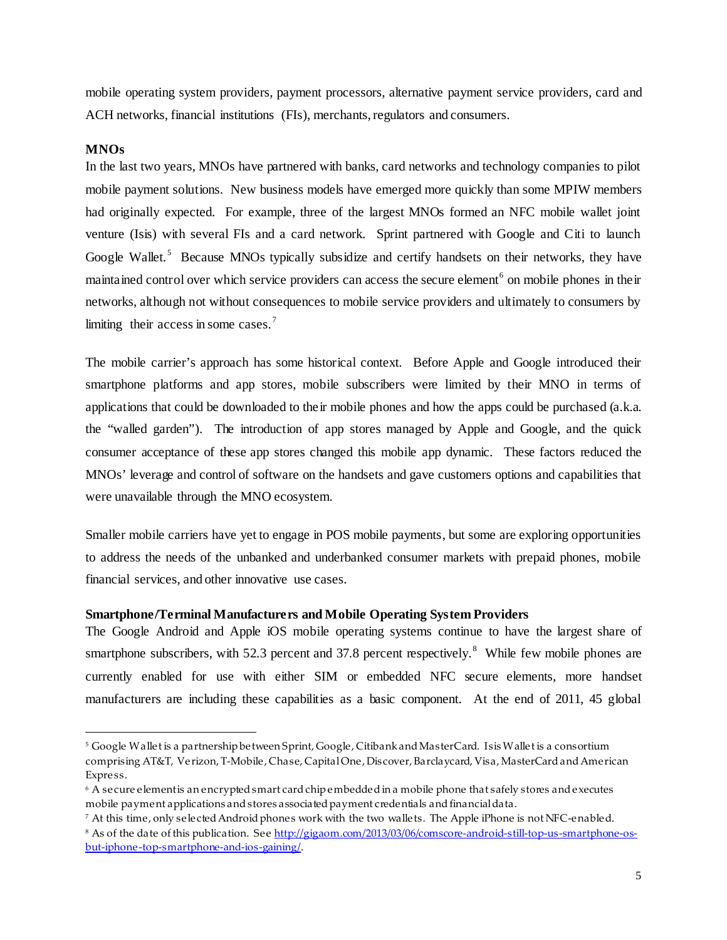mobile operating system providers, payment processors, alternative payment service providers, card and ACH networks, financial institutions (FIs), merchants, regulators and consumers.

# <span id="page-4-0"></span>**MNOs**

 $\overline{a}$ 

In the last two years, MNOs have partnered with banks, card networks and technology companies to pilot mobile payment solutions. New business models have emerged more quickly than some MPIW members had originally expected. For example, three of the largest MNOs formed an NFC mobile wallet joint venture (Isis) with several FIs and a card network. Sprint partnered with Google and Citi to launch Google Wallet.<sup>[5](#page-4-2)</sup> Because MNOs typically subsidize and certify handsets on their networks, they have maintained control over which service providers can access the secure element<sup>[6](#page-4-3)</sup> on mobile phones in their networks, although not without consequences to mobile service providers and ultimately to consumers by limiting their access in some cases.<sup>[7](#page-4-4)</sup>

The mobile carrier's approach has some historical context. Before Apple and Google introduced their smartphone platforms and app stores, mobile subscribers were limited by their MNO in terms of applications that could be downloaded to their mobile phones and how the apps could be purchased (a.k.a. the "walled garden"). The introduction of app stores managed by Apple and Google, and the quick consumer acceptance of these app stores changed this mobile app dynamic. These factors reduced the MNOs' leverage and control of software on the handsets and gave customers options and capabilities that were unavailable through the MNO ecosystem.

Smaller mobile carriers have yet to engage in POS mobile payments, but some are exploring opportunities to address the needs of the unbanked and underbanked consumer markets with prepaid phones, mobile financial services, and other innovative use cases.

# <span id="page-4-1"></span>**Smartphone/Terminal Manufacturers and Mobile Operating System Providers**

The Google Android and Apple iOS mobile operating systems continue to have the largest share of smartphone subscribers, with 52.3 percent and 37.[8](#page-4-5) percent respectively.<sup>8</sup> While few mobile phones are currently enabled for use with either SIM or embedded NFC secure elements, more handset manufacturers are including these capabilities as a basic component. At the end of 2011, 45 global

<span id="page-4-2"></span><sup>5</sup> Google Wallet is a partnership between Sprint, Google, Citibank and MasterCard. Isis Wallet is a consortium comprising AT&T, Verizon, T-Mobile, Chase, Capital One, Discover, Barclaycard, Visa, MasterCard and American Express.

<span id="page-4-3"></span><sup>&</sup>lt;sup>6</sup> A secure elementis an encrypted smart card chip embedded in a mobile phone that safely stores and executes mobile payment applications and stores associated payment credentials and financial data.

<span id="page-4-4"></span><sup>7</sup> At this time, only selected Android phones work with the two wallets. The Apple iPhone is not NFC-enabled.

<span id="page-4-5"></span><sup>8</sup> As of the date of this publication. Se[e http://gigaom.com/2013/03/06/comscore-android-still-top-us-smartphone-os](http://gigaom.com/2013/03/06/comscore-android-still-top-us-smartphone-os-but-iphone-top-smartphone-and-ios-gaining/)[but-iphone-top-smartphone-and-ios-gaining/.](http://gigaom.com/2013/03/06/comscore-android-still-top-us-smartphone-os-but-iphone-top-smartphone-and-ios-gaining/)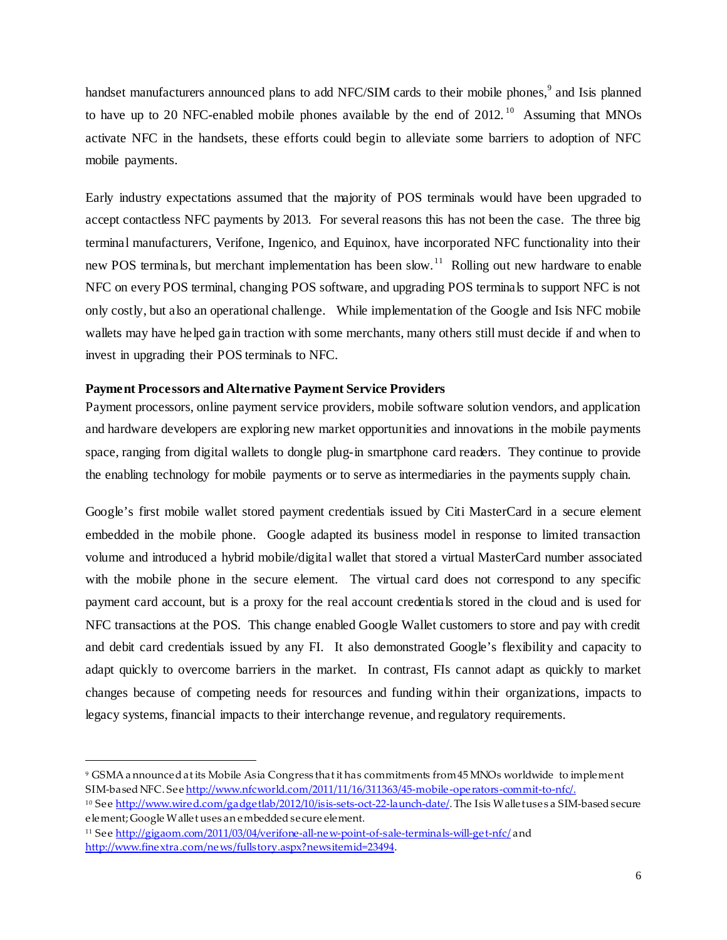handset manufacturers announced plans to add NFC/SIM cards to their mobile phones,<sup>[9](#page-5-1)</sup> and Isis planned to have up to 20 NFC-enabled mobile phones available by the end of  $2012$ .<sup>10</sup> Assuming that MNOs activate NFC in the handsets, these efforts could begin to alleviate some barriers to adoption of NFC mobile payments.

Early industry expectations assumed that the majority of POS terminals would have been upgraded to accept contactless NFC payments by 2013. For several reasons this has not been the case. The three big terminal manufacturers, Verifone, Ingenico, and Equinox, have incorporated NFC functionality into their new POS terminals, but merchant implementation has been slow.<sup>11</sup> Rolling out new hardware to enable NFC on every POS terminal, changing POS software, and upgrading POS terminals to support NFC is not only costly, but also an operational challenge. While implementation of the Google and Isis NFC mobile wallets may have helped gain traction with some merchants, many others still must decide if and when to invest in upgrading their POS terminals to NFC.

# <span id="page-5-0"></span>**Payment Processors and Alternative Payment Service Providers**

Payment processors, online payment service providers, mobile software solution vendors, and application and hardware developers are exploring new market opportunities and innovations in the mobile payments space, ranging from digital wallets to dongle plug-in smartphone card readers. They continue to provide the enabling technology for mobile payments or to serve as intermediaries in the payments supply chain.

Google's first mobile wallet stored payment credentials issued by Citi MasterCard in a secure element embedded in the mobile phone. Google adapted its business model in response to limited transaction volume and introduced a hybrid mobile/digital wallet that stored a virtual MasterCard number associated with the mobile phone in the secure element. The virtual card does not correspond to any specific payment card account, but is a proxy for the real account credentials stored in the cloud and is used for NFC transactions at the POS. This change enabled Google Wallet customers to store and pay with credit and debit card credentials issued by any FI. It also demonstrated Google's flexibility and capacity to adapt quickly to overcome barriers in the market. In contrast, FIs cannot adapt as quickly to market changes because of competing needs for resources and funding within their organizations, impacts to legacy systems, financial impacts to their interchange revenue, and regulatory requirements.

<span id="page-5-1"></span><sup>9</sup> GSMA a nnounced at its Mobile Asia Congress that it has commitments from 45 MNOs worldwide to implement SIM-based NFC. See <http://www.nfcworld.com/2011/11/16/311363/45-mobile-operators-commit-to-nfc/>.

<span id="page-5-2"></span><sup>&</sup>lt;sup>10</sup> Se[e http://www.wired.com/gadgetlab/2012/10/isis-sets-oct-22-launch-date/](http://www.wired.com/gadgetlab/2012/10/isis-sets-oct-22-launch-date/). The Isis Wallet uses a SIM-based secure element; Google Wallet uses an embedded secure element.

<span id="page-5-3"></span><sup>11</sup> Se[e http://gigaom.com/2011/03/04/verifone-all-new-point-of-sale-terminals-will-get-nfc/](http://gigaom.com/2011/03/04/verifone-all-new-point-of-sale-terminals-will-get-nfc/) and <http://www.finextra.com/news/fullstory.aspx?newsitemid=23494>.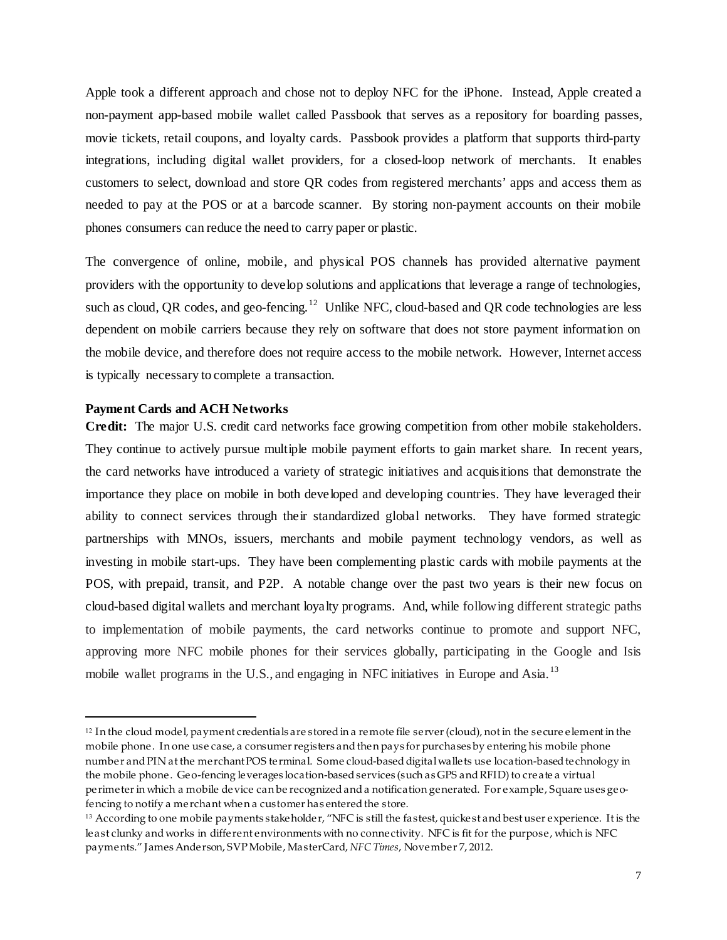Apple took a different approach and chose not to deploy NFC for the iPhone. Instead, Apple created a non-payment app-based mobile wallet called Passbook that serves as a repository for boarding passes, movie tickets, retail coupons, and loyalty cards. Passbook provides a platform that supports third-party integrations, including digital wallet providers, for a closed-loop network of merchants. It enables customers to select, download and store QR codes from registered merchants' apps and access them as needed to pay at the POS or at a barcode scanner. By storing non-payment accounts on their mobile phones consumers can reduce the need to carry paper or plastic.

The convergence of online, mobile, and physical POS channels has provided alternative payment providers with the opportunity to develop solutions and applications that leverage a range of technologies, such as cloud, QR codes, and geo-fencing.<sup>[12](#page-6-1)</sup> Unlike NFC, cloud-based and QR code technologies are less dependent on mobile carriers because they rely on software that does not store payment information on the mobile device, and therefore does not require access to the mobile network. However, Internet access is typically necessary to complete a transaction.

# <span id="page-6-0"></span>**Payment Cards and ACH Networks**

 $\overline{a}$ 

**Credit:** The major U.S. credit card networks face growing competition from other mobile stakeholders. They continue to actively pursue multiple mobile payment efforts to gain market share. In recent years, the card networks have introduced a variety of strategic initiatives and acquisitions that demonstrate the importance they place on mobile in both developed and developing countries. They have leveraged their ability to connect services through their standardized global networks. They have formed strategic partnerships with MNOs, issuers, merchants and mobile payment technology vendors, as well as investing in mobile start-ups. They have been complementing plastic cards with mobile payments at the POS, with prepaid, transit, and P2P. A notable change over the past two years is their new focus on cloud-based digital wallets and merchant loyalty programs. And, while following different strategic paths to implementation of mobile payments, the card networks continue to promote and support NFC, approving more NFC mobile phones for their services globally, participating in the Google and Isis mobile wallet programs in the U.S., and engaging in NFC initiatives in Europe and Asia.<sup>[13](#page-6-2)</sup>

<span id="page-6-1"></span><sup>&</sup>lt;sup>12</sup> In the cloud model, payment credentials are stored in a remote file server (cloud), not in the secure element in the mobile phone. In one use case, a consumer registers and then pays for purchases by entering his mobile phone number and PIN at the merchant POS terminal. Some cloud-based digital wallets use location-basedtechnology in the mobile phone. Geo-fencing leverages location-based services (such as GPS and RFID) to create a virtual perimeter in which a mobile device can be recognized and a notification generated. For example, Square uses geofencing to notify a merchant when a customer has entered the store.

<span id="page-6-2"></span><sup>&</sup>lt;sup>13</sup> According to one mobile payments stakeholder, "NFC is still the fastest, quickest and best user experience. It is the least clunky and works in different environments with no connectivity. NFC is fit for the purpose, which is NFC payments." James Anderson, SVP Mobile, MasterCard, *NFC Times*, November 7, 2012.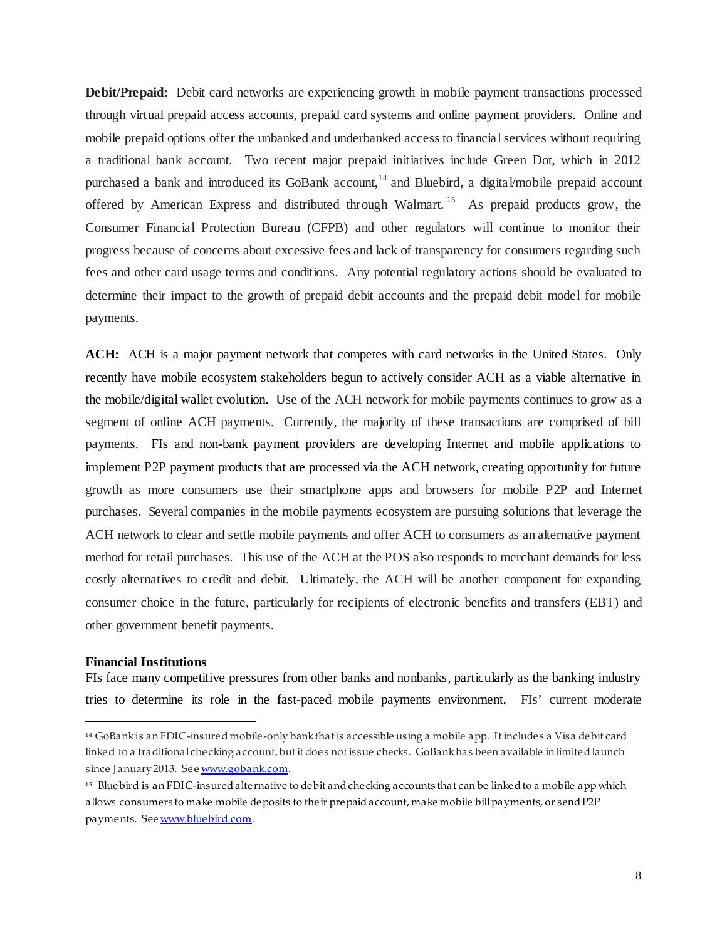**Debit/Prepaid:** Debit card networks are experiencing growth in mobile payment transactions processed through virtual prepaid access accounts, prepaid card systems and online payment providers. Online and mobile prepaid options offer the unbanked and underbanked access to financial services without requiring a traditional bank account. Two recent major prepaid initiatives include Green Dot, which in 2012 purchased a bank and introduced its GoBank account,<sup>[14](#page-7-1)</sup> and Bluebird, a digital/mobile prepaid account offered by American Express and distributed through Walmart.<sup>[15](#page-7-2)</sup> As prepaid products grow, the Consumer Financial Protection Bureau (CFPB) and other regulators will continue to monitor their progress because of concerns about excessive fees and lack of transparency for consumers regarding such fees and other card usage terms and conditions. Any potential regulatory actions should be evaluated to determine their impact to the growth of prepaid debit accounts and the prepaid debit model for mobile payments.

**ACH:** ACH is a major payment network that competes with card networks in the United States. Only recently have mobile ecosystem stakeholders begun to actively consider ACH as a viable alternative in the mobile/digital wallet evolution. Use of the ACH network for mobile payments continues to grow as a segment of online ACH payments. Currently, the majority of these transactions are comprised of bill payments. FIs and non-bank payment providers are developing Internet and mobile applications to implement P2P payment products that are processed via the ACH network, creating opportunity for future growth as more consumers use their smartphone apps and browsers for mobile P2P and Internet purchases. Several companies in the mobile payments ecosystem are pursuing solutions that leverage the ACH network to clear and settle mobile payments and offer ACH to consumers as an alternative payment method for retail purchases. This use of the ACH at the POS also responds to merchant demands for less costly alternatives to credit and debit. Ultimately, the ACH will be another component for expanding consumer choice in the future, particularly for recipients of electronic benefits and transfers (EBT) and other government benefit payments.

#### <span id="page-7-0"></span>**Financial Institutions**

 $\overline{a}$ 

FIs face many competitive pressures from other banks and nonbanks, particularly as the banking industry tries to determine its role in the fast-paced mobile payments environment. FIs' current moderate

<span id="page-7-1"></span><sup>14</sup> GoBank is an FDIC-insured mobile-only bank that is accessible using a mobile app. It includes a Visa debit card linked to a traditional checking account, but it does not issue checks. GoBank has been available in limited launch since January 2013. Se[e www.gobank.com.](http://www.gobank.com/)

<span id="page-7-2"></span><sup>15</sup> Bluebird is an FDIC-insured alternative to debit and checking accounts that can be linked to a mobile app which allows consumers to make mobile deposits to their prepaid account, make mobile bill payments, or send P2P payments. Se[e www.bluebird.com.](http://www.bluebird.com/)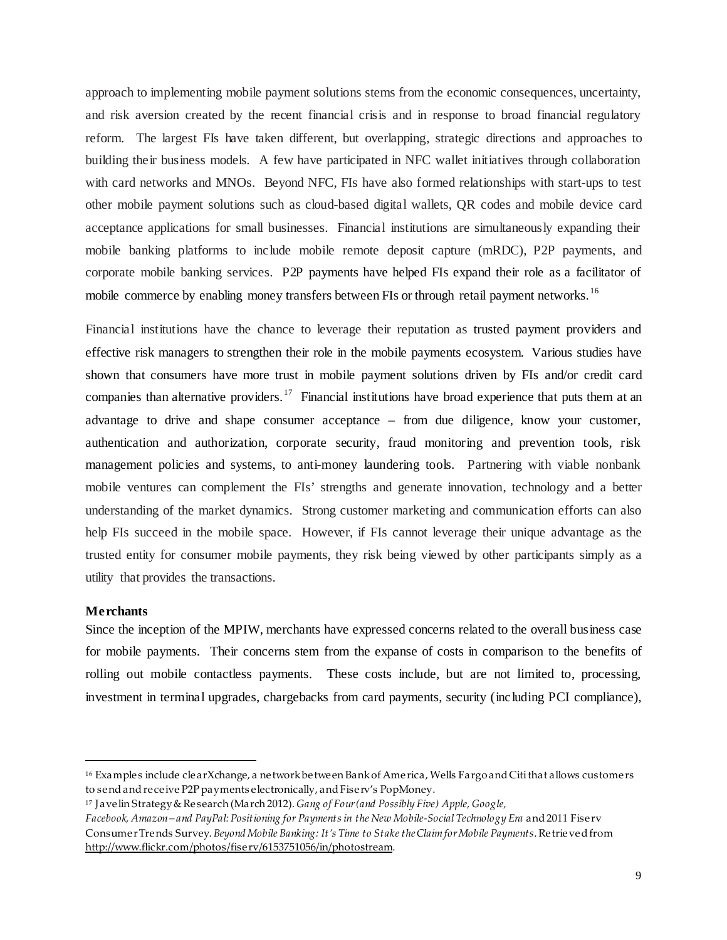approach to implementing mobile payment solutions stems from the economic consequences, uncertainty, and risk aversion created by the recent financial crisis and in response to broad financial regulatory reform. The largest FIs have taken different, but overlapping, strategic directions and approaches to building their business models. A few have participated in NFC wallet initiatives through collaboration with card networks and MNOs. Beyond NFC, FIs have also formed relationships with start-ups to test other mobile payment solutions such as cloud-based digital wallets, QR codes and mobile device card acceptance applications for small businesses. Financial institutions are simultaneously expanding their mobile banking platforms to include mobile remote deposit capture (mRDC), P2P payments, and corporate mobile banking services. P2P payments have helped FIs expand their role as a facilitator of mobile commerce by enabling money transfers between FIs or through retail payment networks.<sup>16</sup>

Financial institutions have the chance to leverage their reputation as trusted payment providers and effective risk managers to strengthen their role in the mobile payments ecosystem. Various studies have shown that consumers have more trust in mobile payment solutions driven by FIs and/or credit card companies than alternative providers.<sup>17</sup> Financial institutions have broad experience that puts them at an advantage to drive and shape consumer acceptance – from due diligence, know your customer, authentication and authorization, corporate security, fraud monitoring and prevention tools, risk management policies and systems, to anti-money laundering tools. Partnering with viable nonbank mobile ventures can complement the FIs' strengths and generate innovation, technology and a better understanding of the market dynamics. Strong customer marketing and communication efforts can also help FIs succeed in the mobile space. However, if FIs cannot leverage their unique advantage as the trusted entity for consumer mobile payments, they risk being viewed by other participants simply as a utility that provides the transactions.

# <span id="page-8-0"></span>**Merchants**

 $\overline{a}$ 

Since the inception of the MPIW, merchants have expressed concerns related to the overall business case for mobile payments. Their concerns stem from the expanse of costs in comparison to the benefits of rolling out mobile contactless payments. These costs include, but are not limited to, processing, investment in terminal upgrades, chargebacks from card payments, security (including PCI compliance),

<span id="page-8-1"></span><sup>16</sup> Examples include clearXchange, a network between Bank of America, Wells Fargo and Citi that allows customers to send and receive P2P payments electronically, and Fiserv's PopMoney.

<span id="page-8-2"></span><sup>17</sup> Javelin Strategy & Research (March 2012). *Gang of Four (and Possibly Five) Apple, Google,*

*Facebook, Amazon – and PayPal: Positioning for Payments in the New Mobile‐Social Technology Era* and 2011 Fiserv Consumer Trends Survey. *Beyond Mobile Banking: It's Time to Stake the Claim for Mobile Payments*. Retrieved from [http://www.flickr.com/photos/fiserv/6153751056/in/photostream.](http://www.flickr.com/photos/fiserv/6153751056/in/photostream)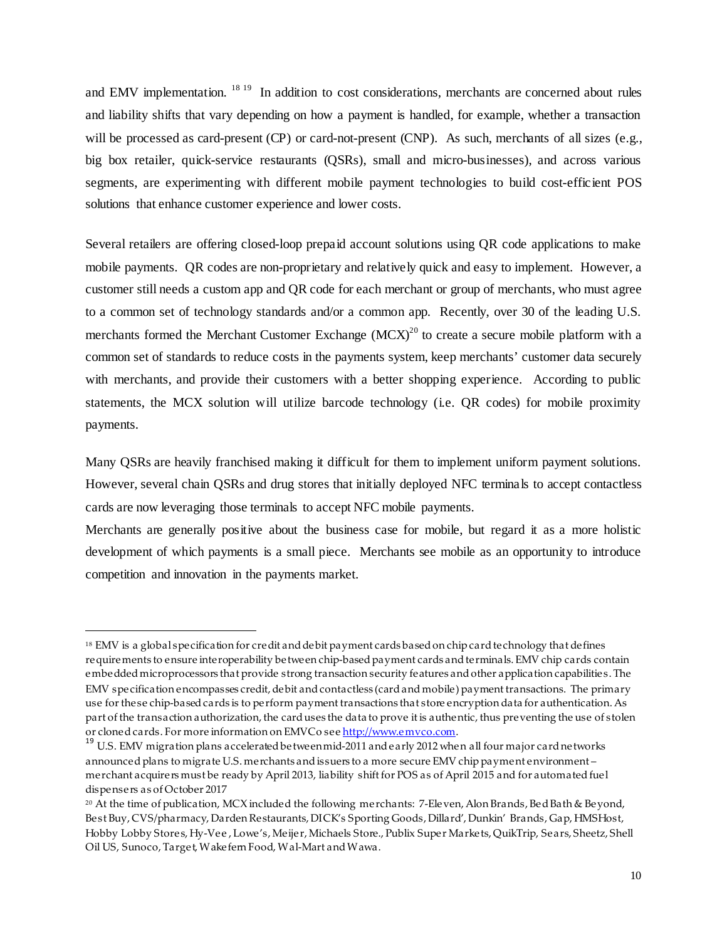and EMV implementation. <sup>[18](#page-9-1) [19](#page-9-2)</sup> In addition to cost considerations, merchants are concerned about rules and liability shifts that vary depending on how a payment is handled, for example, whether a transaction will be processed as card-present (CP) or card-not-present (CNP). As such, merchants of all sizes (e.g., big box retailer, quick-service restaurants (QSRs), small and micro-businesses), and across various segments, are experimenting with different mobile payment technologies to build cost-efficient POS solutions that enhance customer experience and lower costs.

Several retailers are offering closed-loop prepaid account solutions using QR code applications to make mobile payments. QR codes are non-proprietary and relatively quick and easy to implement. However, a customer still needs a custom app and QR code for each merchant or group of merchants, who must agree to a common set of technology standards and/or a common app. Recently, over 30 of the leading U.S. merchants formed the Merchant Customer Exchange  $(MCX)^{20}$  to create a secure mobile platform with a common set of standards to reduce costs in the payments system, keep merchants' customer data securely with merchants, and provide their customers with a better shopping experience. According to public statements, the MCX solution will utilize barcode technology (i.e. QR codes) for mobile proximity payments.

Many QSRs are heavily franchised making it difficult for them to implement uniform payment solutions. However, several chain QSRs and drug stores that initially deployed NFC terminals to accept contactless cards are now leveraging those terminals to accept NFC mobile payments.

<span id="page-9-0"></span>Merchants are generally positive about the business case for mobile, but regard it as a more holistic development of which payments is a small piece. Merchants see mobile as an opportunity to introduce competition and innovation in the payments market.

<span id="page-9-1"></span><sup>18</sup> EMV is a global specification for credit and debit payment cards based on chip card technology that defines requirements to ensure interoperability between chip-based payment cards and terminals. EMV chip cards contain embedded microprocessors that provide strong transaction security features and other application capabilities. The EMV specification encompasses credit, debit and contactless (card and mobile) payment transactions. The primary use for these chip-based cards is to perform payment transactions that store encryption data for authentication. As part of the transaction authorization, the card uses the data to prove it is authentic, thus preventing the use of stolen or cloned cards. For more information on EMVCo see <u>http://www.emvco.com</u>.<br><sup>19</sup> U.S. EMV migration plans accelerated between mid-2011 and early 2012 when all four major card networks

<span id="page-9-2"></span>announced plans to migrate U.S. merchants and issuers to a more secure EMV chip payment environment – merchant acquirers must be ready by April 2013, liability shift for POS as of April 2015 and for automated fuel dispensers as of October 2017

<span id="page-9-3"></span><sup>20</sup> At the time of publication, MCX included the following merchants: 7-Eleven, Alon Brands, Bed Bath & Beyond, Best Buy, CVS/pharmacy, Darden Restaurants, DICK's Sporting Goods, Dillard', Dunkin' Brands, Gap, HMSHost, Hobby Lobby Stores, Hy-Vee , Lowe's, Meijer, Michaels Store., Publix Super Markets, QuikTrip, Sears, Sheetz, Shell Oil US, Sunoco, Target, Wakefern Food, Wal-Mart and Wawa.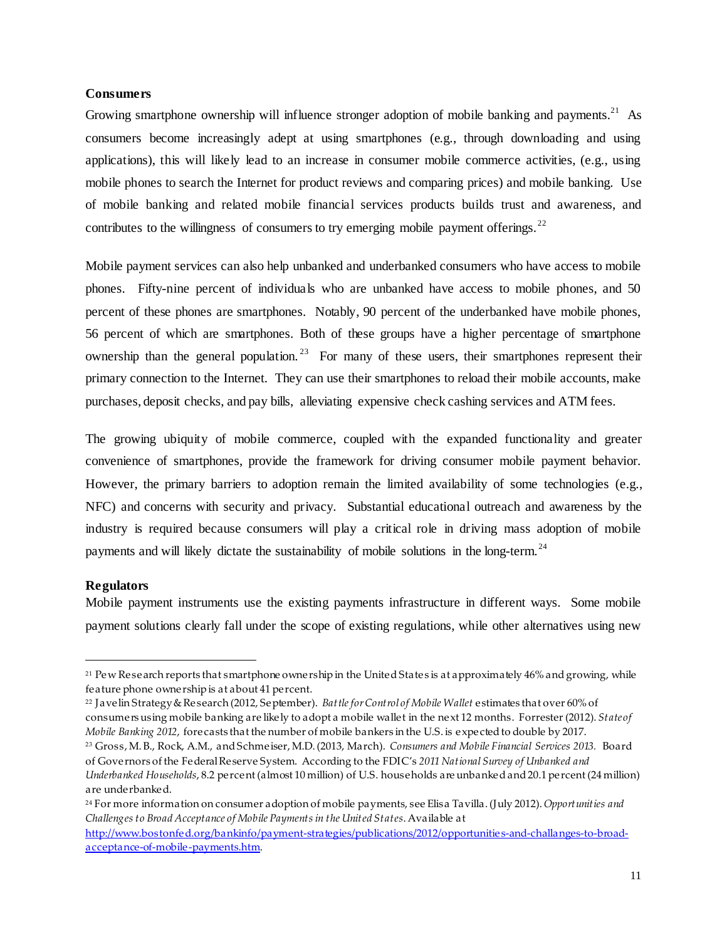# **Consumers**

Growing smartphone ownership will influence stronger adoption of mobile banking and payments.<sup>[21](#page-10-1)</sup> As consumers become increasingly adept at using smartphones (e.g., through downloading and using applications), this will likely lead to an increase in consumer mobile commerce activities, (e.g., using mobile phones to search the Internet for product reviews and comparing prices) and mobile banking. Use of mobile banking and related mobile financial services products builds trust and awareness, and contributes to the willingness of consumers to try emerging mobile payment offerings.<sup>[22](#page-10-2)</sup>

Mobile payment services can also help unbanked and underbanked consumers who have access to mobile phones. Fifty-nine percent of individuals who are unbanked have access to mobile phones, and 50 percent of these phones are smartphones. Notably, 90 percent of the underbanked have mobile phones, 56 percent of which are smartphones. Both of these groups have a higher percentage of smartphone ownership than the general population.<sup>[23](#page-10-3)</sup> For many of these users, their smartphones represent their primary connection to the Internet. They can use their smartphones to reload their mobile accounts, make purchases, deposit checks, and pay bills, alleviating expensive check cashing services and ATM fees.

The growing ubiquity of mobile commerce, coupled with the expanded functionality and greater convenience of smartphones, provide the framework for driving consumer mobile payment behavior. However, the primary barriers to adoption remain the limited availability of some technologies (e.g., NFC) and concerns with security and privacy. Substantial educational outreach and awareness by the industry is required because consumers will play a critical role in driving mass adoption of mobile payments and will likely dictate the sustainability of mobile solutions in the long-term.<sup>[24](#page-10-4)</sup>

# <span id="page-10-0"></span>**Regulators**

 $\overline{a}$ 

Mobile payment instruments use the existing payments infrastructure in different ways. Some mobile payment solutions clearly fall under the scope of existing regulations, while other alternatives using new

<span id="page-10-1"></span><sup>&</sup>lt;sup>21</sup> Pew Research reports that smartphone ownership in the United States is at approximately 46% and growing, while feature phone ownership is at about 41 percent.

<span id="page-10-2"></span><sup>22</sup> Javelin Strategy & Research (2012, September). *Battle for Control of Mobile Wallet* estimates that over 60% of

consumers using mobile banking are likely to adopt a mobile wallet in the next 12 months. Forrester(2012). *State of Mobile Banking 2012*, forecasts that the number of mobile bankers in the U.S. is expected to double by 2017.

<span id="page-10-3"></span><sup>23</sup> Gross, M. B., Rock, A.M., and Schmeiser, M.D. (2013, March). *Consumers and Mobile Financial Services 2013.* Board of Governors of the Federal Reserve System. According to the FDIC's *2011 National Survey of Unbanked and* 

*Underbanked Households*, 8.2 percent (almost 10 million) of U.S. households are unbanked and 20.1 percent (24 million) are underbanked.

<span id="page-10-4"></span><sup>24</sup> For more information on consumer adoption of mobile payments, see Elisa Tavilla. (July 2012). *Opportunities and Challenges to Broad Acceptance of Mobile Payments in the United States*. Available at

[http://www.bostonfed.org/bankinfo/payment-strategies/publications/2012/opportunities-and-challanges-to-broad](http://www.bostonfed.org/bankinfo/payment-strategies/publications/2012/opportunities-and-challanges-to-broad-acceptance-of-mobile-payments.htm)[acceptance-of-mobile-payments.htm](http://www.bostonfed.org/bankinfo/payment-strategies/publications/2012/opportunities-and-challanges-to-broad-acceptance-of-mobile-payments.htm).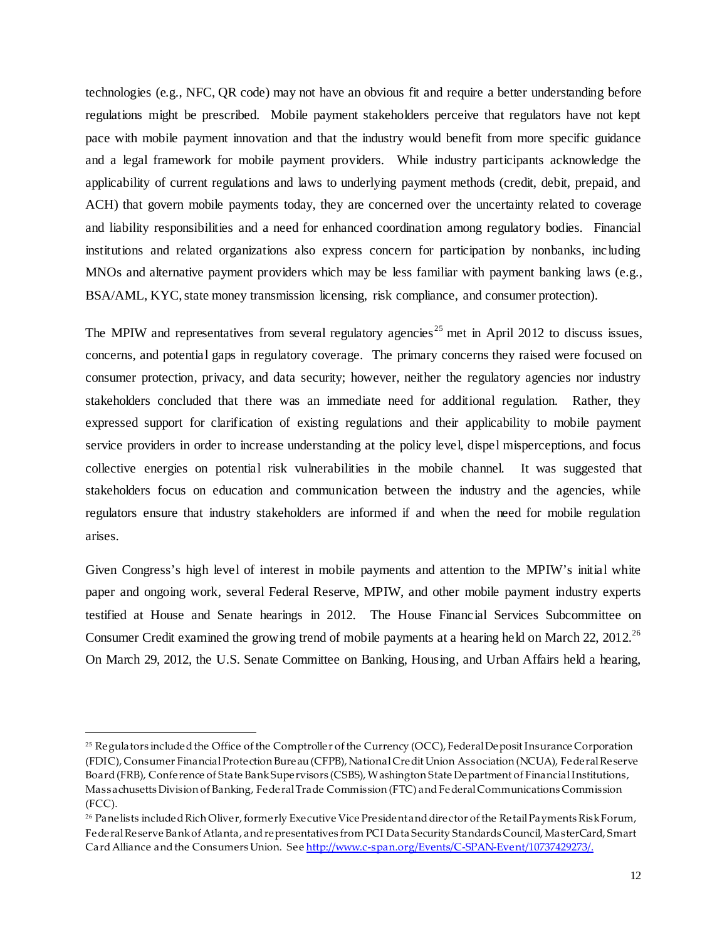technologies (e.g., NFC, QR code) may not have an obvious fit and require a better understanding before regulations might be prescribed. Mobile payment stakeholders perceive that regulators have not kept pace with mobile payment innovation and that the industry would benefit from more specific guidance and a legal framework for mobile payment providers. While industry participants acknowledge the applicability of current regulations and laws to underlying payment methods (credit, debit, prepaid, and ACH) that govern mobile payments today, they are concerned over the uncertainty related to coverage and liability responsibilities and a need for enhanced coordination among regulatory bodies. Financial institutions and related organizations also express concern for participation by nonbanks, including MNOs and alternative payment providers which may be less familiar with payment banking laws (e.g., BSA/AML, KYC, state money transmission licensing, risk compliance, and consumer protection).

The MPIW and representatives from several regulatory agencies<sup>[25](#page-11-0)</sup> met in April 2012 to discuss issues, concerns, and potential gaps in regulatory coverage. The primary concerns they raised were focused on consumer protection, privacy, and data security; however, neither the regulatory agencies nor industry stakeholders concluded that there was an immediate need for additional regulation. Rather, they expressed support for clarification of existing regulations and their applicability to mobile payment service providers in order to increase understanding at the policy level, dispel misperceptions, and focus collective energies on potential risk vulnerabilities in the mobile channel. It was suggested that stakeholders focus on education and communication between the industry and the agencies, while regulators ensure that industry stakeholders are informed if and when the need for mobile regulation arises.

Given Congress's high level of interest in mobile payments and attention to the MPIW's initial white paper and ongoing work, several Federal Reserve, MPIW, and other mobile payment industry experts testified at House and Senate hearings in 2012. The House Financial Services Subcommittee on Consumer Credit examined the growing trend of mobile payments at a hearing held on March 22, 2012.<sup>[26](#page-11-1)</sup> On March 29, 2012, the U.S. Senate Committee on Banking, Housing, and Urban Affairs held a hearing,

<span id="page-11-0"></span><sup>25</sup> Regulators included the Office of the Comptroller of the Currency (OCC), Federal Deposit Insurance Corporation (FDIC), Consumer Financial Protection Bureau (CFPB), National Credit Union Association (NCUA), Federal Reserve Board (FRB), Conference of State Bank Supervisors (CSBS), Washington State Department of Financial Institutions, Massachusetts Division of Banking, Federal Trade Commission (FTC) and Federal Communications Commission (FCC).

<span id="page-11-1"></span><sup>26</sup> Panelists included Rich Oliver, formerly Executive Vice President and director of the Retail Payments Risk Forum, Federal Reserve Bank of Atlanta, and representatives from PCI Data Security Standards Council, MasterCard, Smart Card Alliance and the Consumers Union. Se[e http://www.c-span.org/Events/C-SPAN-Event/10737429273/](http://www.c-span.org/Events/C-SPAN-Event/10737429273/).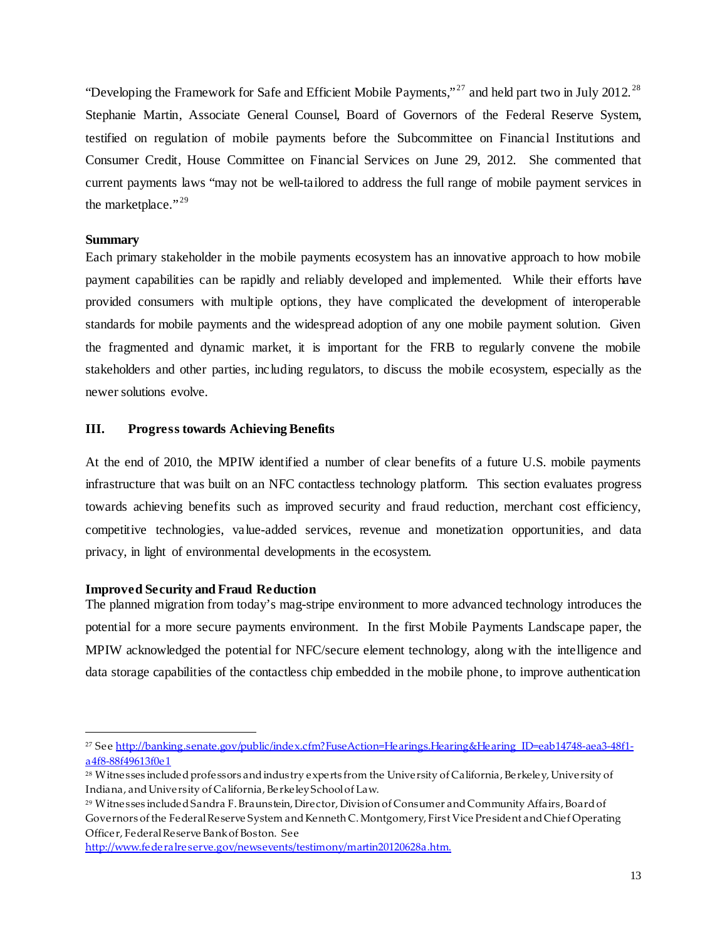"Developing the Framework for Safe and Efficient Mobile Payments,"<sup>[27](#page-12-3)</sup> and held part two in July 2012.<sup>[28](#page-12-4)</sup> Stephanie Martin, Associate General Counsel, Board of Governors of the Federal Reserve System, testified on regulation of mobile payments before the Subcommittee on Financial Institutions and Consumer Credit, House Committee on Financial Services on June 29, 2012. She commented that current payments laws "may not be well-tailored to address the full range of mobile payment services in the marketplace."<sup>[29](#page-12-5)</sup>

# <span id="page-12-0"></span>**Summary**

 $\overline{a}$ 

Each primary stakeholder in the mobile payments ecosystem has an innovative approach to how mobile payment capabilities can be rapidly and reliably developed and implemented. While their efforts have provided consumers with multiple options, they have complicated the development of interoperable standards for mobile payments and the widespread adoption of any one mobile payment solution. Given the fragmented and dynamic market, it is important for the FRB to regularly convene the mobile stakeholders and other parties, including regulators, to discuss the mobile ecosystem, especially as the newer solutions evolve.

# <span id="page-12-1"></span>**III. Progress towards Achieving Benefits**

At the end of 2010, the MPIW identified a number of clear benefits of a future U.S. mobile payments infrastructure that was built on an NFC contactless technology platform. This section evaluates progress towards achieving benefits such as improved security and fraud reduction, merchant cost efficiency, competitive technologies, value-added services, revenue and monetization opportunities, and data privacy, in light of environmental developments in the ecosystem.

# <span id="page-12-2"></span>**Improved Security and Fraud Reduction**

The planned migration from today's mag-stripe environment to more advanced technology introduces the potential for a more secure payments environment. In the first Mobile Payments Landscape paper, the MPIW acknowledged the potential for NFC/secure element technology, along with the intelligence and data storage capabilities of the contactless chip embedded in the mobile phone, to improve authentication

<span id="page-12-3"></span><sup>&</sup>lt;sup>27</sup> See http://banking.senate.gov/public/index.cfm?FuseAction=Hearings.Hearing&Hearing ID=eab14748-aea3-48f1[a4f8-88f49613f0e1](http://banking.senate.gov/public/index.cfm?FuseAction=Hearings.Hearing&Hearing_ID=eab14748-aea3-48f1-a4f8-88f49613f0e1)

<span id="page-12-4"></span><sup>&</sup>lt;sup>28</sup> Witnesses included professors and industry experts from the University of California, Berkeley, University of Indiana, and University of California, Berkeley School of Law.

<span id="page-12-5"></span><sup>29</sup> Witnesses included Sandra F. Braunstein, Director, Division of Consumer and Community Affairs, Board of Governors of the Federal Reserve System and Kenneth C. Montgomery, First Vice President and Chief Operating Officer, Federal Reserve Bank of Boston. See

<http://www.federalreserve.gov/newsevents/testimony/martin20120628a.htm>.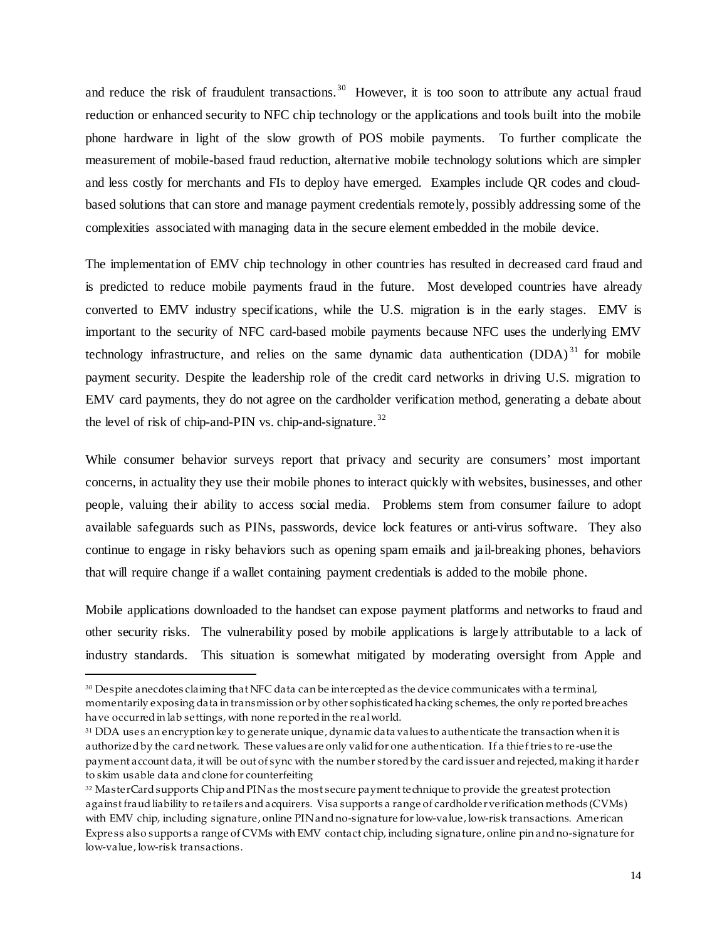and reduce the risk of fraudulent transactions.<sup>30</sup> However, it is too soon to attribute any actual fraud reduction or enhanced security to NFC chip technology or the applications and tools built into the mobile phone hardware in light of the slow growth of POS mobile payments. To further complicate the measurement of mobile-based fraud reduction, alternative mobile technology solutions which are simpler and less costly for merchants and FIs to deploy have emerged. Examples include QR codes and cloudbased solutions that can store and manage payment credentials remotely, possibly addressing some of the complexities associated with managing data in the secure element embedded in the mobile device.

The implementation of EMV chip technology in other countries has resulted in decreased card fraud and is predicted to reduce mobile payments fraud in the future. Most developed countries have already converted to EMV industry specifications, while the U.S. migration is in the early stages. EMV is important to the security of NFC card-based mobile payments because NFC uses the underlying EMV technology infrastructure, and relies on the same dynamic data authentication  $(DDA)^{31}$  $(DDA)^{31}$  $(DDA)^{31}$  for mobile payment security. Despite the leadership role of the credit card networks in driving U.S. migration to EMV card payments, they do not agree on the cardholder verification method, generating a debate about the level of risk of chip-and-PIN vs. chip-and-signature.<sup>32</sup>

While consumer behavior surveys report that privacy and security are consumers' most important concerns, in actuality they use their mobile phones to interact quickly with websites, businesses, and other people, valuing their ability to access social media. Problems stem from consumer failure to adopt available safeguards such as PINs, passwords, device lock features or anti-virus software. They also continue to engage in risky behaviors such as opening spam emails and jail-breaking phones, behaviors that will require change if a wallet containing payment credentials is added to the mobile phone.

Mobile applications downloaded to the handset can expose payment platforms and networks to fraud and other security risks. The vulnerability posed by mobile applications is largely attributable to a lack of industry standards. This situation is somewhat mitigated by moderating oversight from Apple and

<span id="page-13-0"></span><sup>30</sup> Despite anecdotes claiming that NFC data can be intercepted as the device communicates with a terminal, momentarily exposing data in transmission or by other sophisticatedhacking schemes, the only reported breaches have occurred in lab settings, with none reported in the real world.

<span id="page-13-1"></span><sup>&</sup>lt;sup>31</sup> DDA uses an encryption key to generate unique, dynamic data values to authenticate the transaction when it is authorized by the card network. These values are only valid for one authentication. If a thief tries to re-use the payment account data, it will be out of sync with the number stored by the card issuer and rejected, making it harder to skim usable data and clone for counterfeiting

<span id="page-13-2"></span><sup>&</sup>lt;sup>32</sup> MasterCard supports Chip and PIN as the most secure payment technique to provide the greatest protection against fraud liability to retailers and acquirers. Visa supports a range of cardholder verification methods (CVMs) with EMV chip, including signature, online PIN and no-signature for low-value, low-risk transactions. American Express also supports a range of CVMs with EMV contact chip, including signature, online pin and no-signature for low-value, low-risk transactions.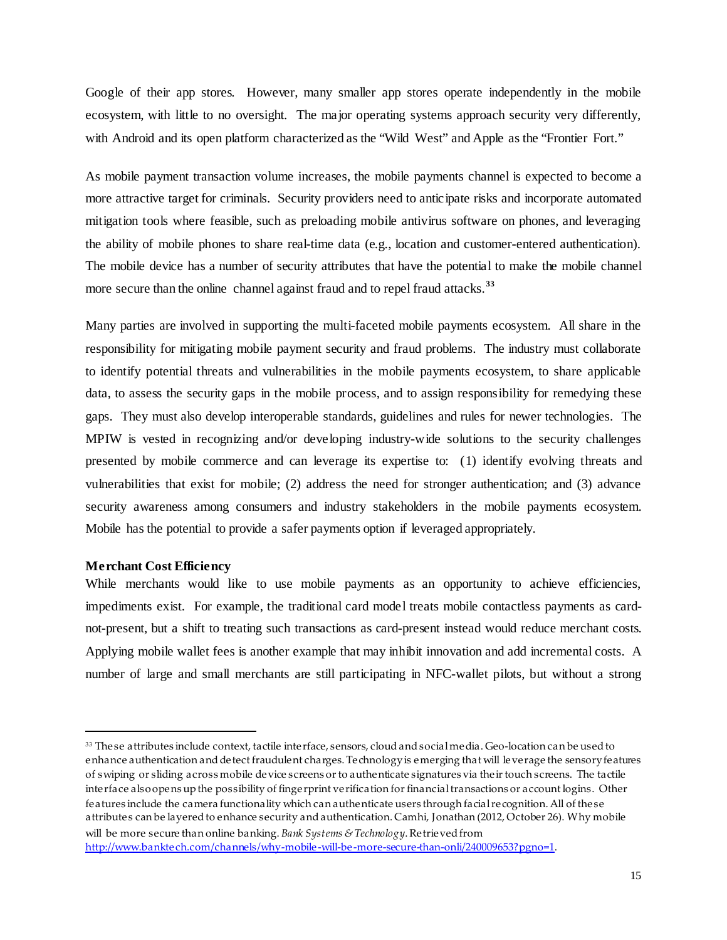Google of their app stores. However, many smaller app stores operate independently in the mobile ecosystem, with little to no oversight. The major operating systems approach security very differently, with Android and its open platform characterized as the "Wild West" and Apple as the "Frontier Fort."

As mobile payment transaction volume increases, the mobile payments channel is expected to become a more attractive target for criminals. Security providers need to anticipate risks and incorporate automated mitigation tools where feasible, such as preloading mobile antivirus software on phones, and leveraging the ability of mobile phones to share real-time data (e.g., location and customer-entered authentication). The mobile device has a number of security attributes that have the potential to make the mobile channel more secure than the online channel against fraud and to repel fraud attacks. **[33](#page-14-1)**

Many parties are involved in supporting the multi-faceted mobile payments ecosystem. All share in the responsibility for mitigating mobile payment security and fraud problems. The industry must collaborate to identify potential threats and vulnerabilities in the mobile payments ecosystem, to share applicable data, to assess the security gaps in the mobile process, and to assign responsibility for remedying these gaps. They must also develop interoperable standards, guidelines and rules for newer technologies. The MPIW is vested in recognizing and/or developing industry-wide solutions to the security challenges presented by mobile commerce and can leverage its expertise to: (1) identify evolving threats and vulnerabilities that exist for mobile; (2) address the need for stronger authentication; and (3) advance security awareness among consumers and industry stakeholders in the mobile payments ecosystem. Mobile has the potential to provide a safer payments option if leveraged appropriately.

# <span id="page-14-0"></span>**Merchant Cost Efficiency**

 $\overline{a}$ 

While merchants would like to use mobile payments as an opportunity to achieve efficiencies, impediments exist. For example, the traditional card model treats mobile contactless payments as cardnot-present, but a shift to treating such transactions as card-present instead would reduce merchant costs. Applying mobile wallet fees is another example that may inhibit innovation and add incremental costs. A number of large and small merchants are still participating in NFC-wallet pilots, but without a strong

<span id="page-14-1"></span><sup>33</sup> These attributes include context, tactile interface, sensors, cloud and social media. Geo-location can be used to enhance authentication and detect fraudulent charges. Technology is emerging that will leverage the sensory features of swiping or sliding across mobile device screens or to authenticate signatures via their touch screens. The tactile interface also opens up the possibility of fingerprint verification for financial transactions or account logins. Other features include the camera functionality which can authenticate users through facial recognition. All of these attributes can be layered to enhance security and authentication. Camhi, Jonathan (2012, October 26). Why mobile will be more secure than online banking. *Bank Systems & Technology*. Retrieved from <http://www.banktech.com/channels/why-mobile-will-be-more-secure-than-onli/240009653?pgno=1>.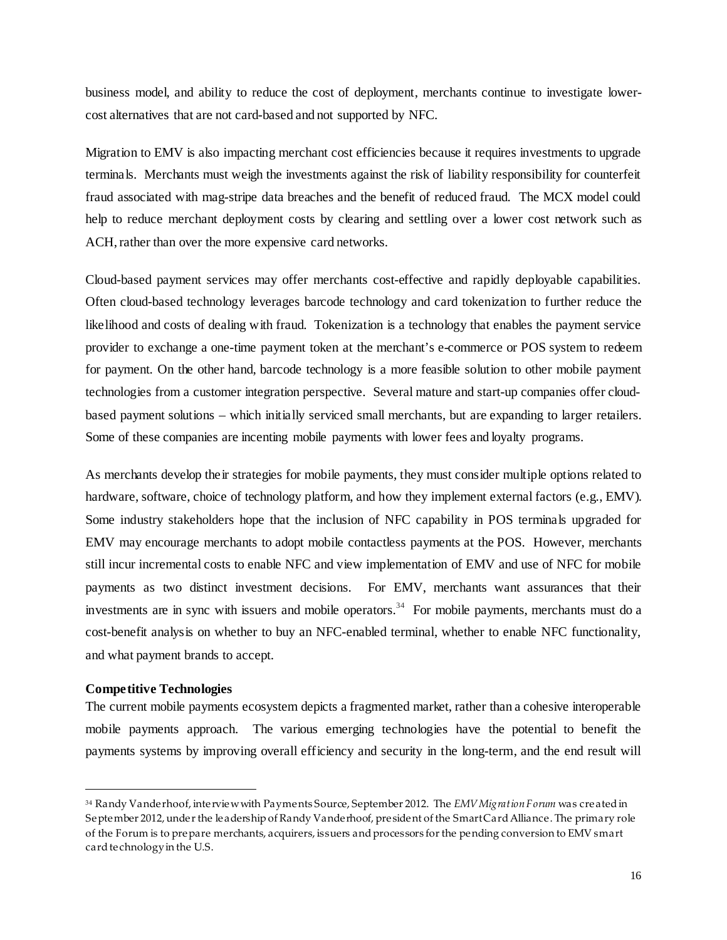business model, and ability to reduce the cost of deployment, merchants continue to investigate lowercost alternatives that are not card-based and not supported by NFC.

Migration to EMV is also impacting merchant cost efficiencies because it requires investments to upgrade terminals. Merchants must weigh the investments against the risk of liability responsibility for counterfeit fraud associated with mag-stripe data breaches and the benefit of reduced fraud. The MCX model could help to reduce merchant deployment costs by clearing and settling over a lower cost network such as ACH, rather than over the more expensive card networks.

Cloud-based payment services may offer merchants cost-effective and rapidly deployable capabilities. Often cloud-based technology leverages barcode technology and card tokenization to further reduce the likelihood and costs of dealing with fraud. Tokenization is a technology that enables the payment service provider to exchange a one-time payment token at the merchant's e-commerce or POS system to redeem for payment. On the other hand, barcode technology is a more feasible solution to other mobile payment technologies from a customer integration perspective. Several mature and start-up companies offer cloudbased payment solutions – which initially serviced small merchants, but are expanding to larger retailers. Some of these companies are incenting mobile payments with lower fees and loyalty programs.

As merchants develop their strategies for mobile payments, they must consider multiple options related to hardware, software, choice of technology platform, and how they implement external factors (e.g., EMV). Some industry stakeholders hope that the inclusion of NFC capability in POS terminals upgraded for EMV may encourage merchants to adopt mobile contactless payments at the POS. However, merchants still incur incremental costs to enable NFC and view implementation of EMV and use of NFC for mobile payments as two distinct investment decisions. For EMV, merchants want assurances that their investments are in sync with issuers and mobile operators.<sup>[34](#page-15-1)</sup> For mobile payments, merchants must do a cost-benefit analysis on whether to buy an NFC-enabled terminal, whether to enable NFC functionality, and what payment brands to accept.

# <span id="page-15-0"></span>**Competitive Technologies**

 $\overline{a}$ 

The current mobile payments ecosystem depicts a fragmented market, rather than a cohesive interoperable mobile payments approach. The various emerging technologies have the potential to benefit the payments systems by improving overall efficiency and security in the long-term, and the end result will

<span id="page-15-1"></span><sup>34</sup> Randy Vanderhoof, interview with Payments Source, September 2012. The *EMV Migration Forum* was created in September 2012, under the leadership of Randy Vanderhoof, president of the Smart Card Alliance. The primary role of the Forum is to prepare merchants, acquirers, issuers and processors for the pending conversion to EMV smart card technology in the U.S.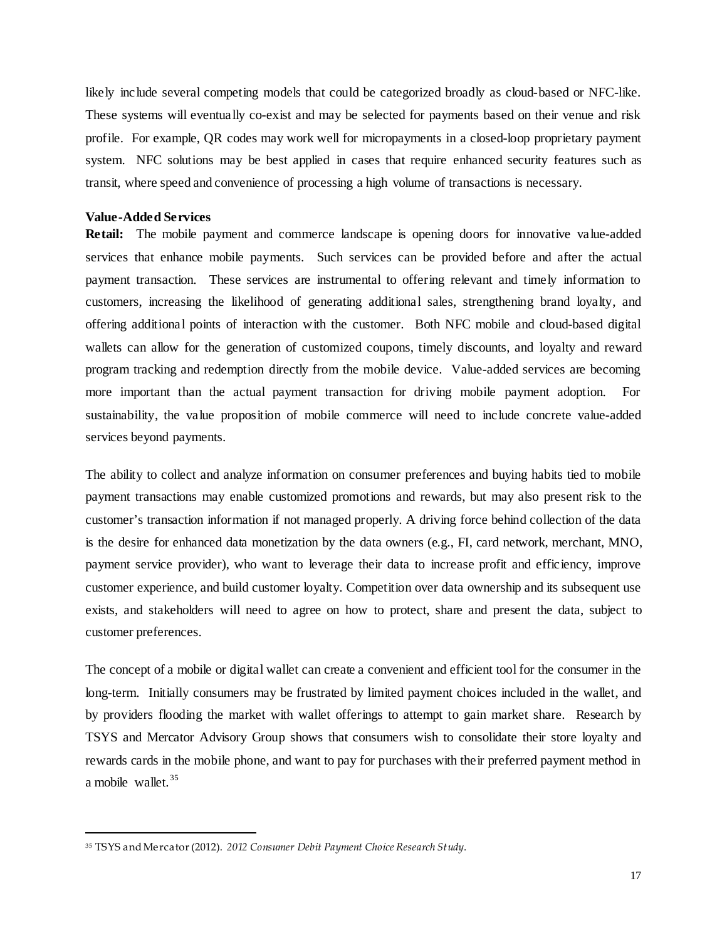likely include several competing models that could be categorized broadly as cloud-based or NFC-like. These systems will eventually co-exist and may be selected for payments based on their venue and risk profile. For example, QR codes may work well for micropayments in a closed-loop proprietary payment system. NFC solutions may be best applied in cases that require enhanced security features such as transit, where speed and convenience of processing a high volume of transactions is necessary.

# <span id="page-16-0"></span>**Value-Added Services**

 $\overline{a}$ 

**Retail:** The mobile payment and commerce landscape is opening doors for innovative value-added services that enhance mobile payments. Such services can be provided before and after the actual payment transaction. These services are instrumental to offering relevant and timely information to customers, increasing the likelihood of generating additional sales, strengthening brand loyalty, and offering additional points of interaction with the customer. Both NFC mobile and cloud-based digital wallets can allow for the generation of customized coupons, timely discounts, and loyalty and reward program tracking and redemption directly from the mobile device. Value-added services are becoming more important than the actual payment transaction for driving mobile payment adoption. For sustainability, the value proposition of mobile commerce will need to include concrete value-added services beyond payments.

The ability to collect and analyze information on consumer preferences and buying habits tied to mobile payment transactions may enable customized promotions and rewards, but may also present risk to the customer's transaction information if not managed properly. A driving force behind collection of the data is the desire for enhanced data monetization by the data owners (e.g., FI, card network, merchant, MNO, payment service provider), who want to leverage their data to increase [profit](http://en.wikipedia.org/wiki/Profit_(economics)) and [efficiency,](http://en.wikipedia.org/wiki/Efficiency) improve [customer experience,](http://en.wikipedia.org/wiki/Customer_experience) and build [customer loyalty.](http://en.wikipedia.org/wiki/Customer_loyalty) Competition over data ownership and its subsequent use exists, and stakeholders will need to agree on how to protect, share and present the data, subject to customer preferences.

The concept of a mobile or digital wallet can create a convenient and efficient tool for the consumer in the long-term. Initially consumers may be frustrated by limited payment choices included in the wallet, and by providers flooding the market with wallet offerings to attempt to gain market share. Research by TSYS and Mercator Advisory Group shows that consumers wish to consolidate their store loyalty and rewards cards in the mobile phone, and want to pay for purchases with their preferred payment method in a mobile wallet.<sup>35</sup>

<span id="page-16-1"></span><sup>35</sup> TSYS and Mercator (2012). *2012 Consumer Debit Payment Choice Research Study*.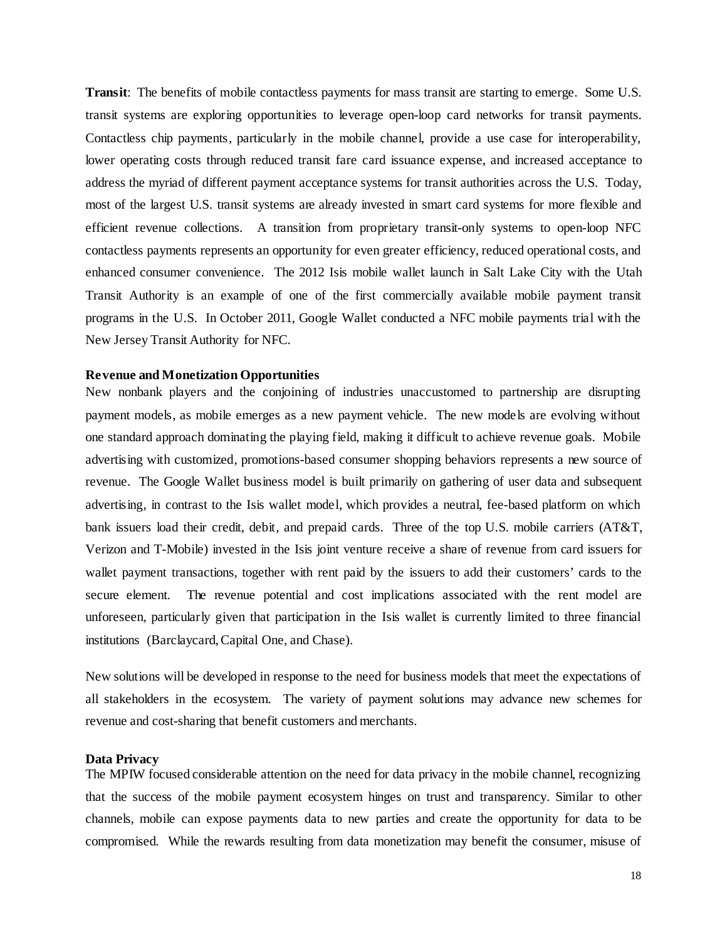**Transit**: The benefits of mobile contactless payments for mass transit are starting to emerge. Some U.S. transit systems are exploring opportunities to leverage open-loop card networks for transit payments. Contactless chip payments, particularly in the mobile channel, provide a use case for interoperability, lower operating costs through reduced transit fare card issuance expense, and increased acceptance to address the myriad of different payment acceptance systems for transit authorities across the U.S. Today, most of the largest U.S. transit systems are already invested in smart card systems for more flexible and efficient revenue collections. A transition from proprietary transit-only systems to open-loop NFC contactless payments represents an opportunity for even greater efficiency, reduced operational costs, and enhanced consumer convenience. The 2012 Isis mobile wallet launch in Salt Lake City with the Utah Transit Authority is an example of one of the first commercially available mobile payment transit programs in the U.S. In October 2011, Google Wallet conducted a NFC mobile payments trial with the New Jersey Transit Authority for NFC.

#### <span id="page-17-0"></span>**Revenue and Monetization Opportunities**

New nonbank players and the conjoining of industries unaccustomed to partnership are disrupting payment models, as mobile emerges as a new payment vehicle. The new models are evolving without one standard approach dominating the playing field, making it difficult to achieve revenue goals. Mobile advertising with customized, promotions-based consumer shopping behaviors represents a new source of revenue. The Google Wallet business model is built primarily on gathering of user data and subsequent advertising, in contrast to the Isis wallet model, which provides a neutral, fee-based platform on which bank issuers load their credit, debit, and prepaid cards. Three of the top U.S. mobile carriers (AT&T, Verizon and T-Mobile) invested in the Isis joint venture receive a share of revenue from card issuers for wallet payment transactions, together with rent paid by the issuers to add their customers' cards to the secure element. The revenue potential and cost implications associated with the rent model are unforeseen, particularly given that participation in the Isis wallet is currently limited to three financial institutions (Barclaycard, Capital One, and Chase).

New solutions will be developed in response to the need for business models that meet the expectations of all stakeholders in the ecosystem. The variety of payment solutions may advance new schemes for revenue and cost-sharing that benefit customers and merchants.

# <span id="page-17-1"></span>**Data Privacy**

The MPIW focused considerable attention on the need for data privacy in the mobile channel, recognizing that the success of the mobile payment ecosystem hinges on trust and transparency. Similar to other channels, mobile can expose payments data to new parties and create the opportunity for data to be compromised. While the rewards resulting from data monetization may benefit the consumer, misuse of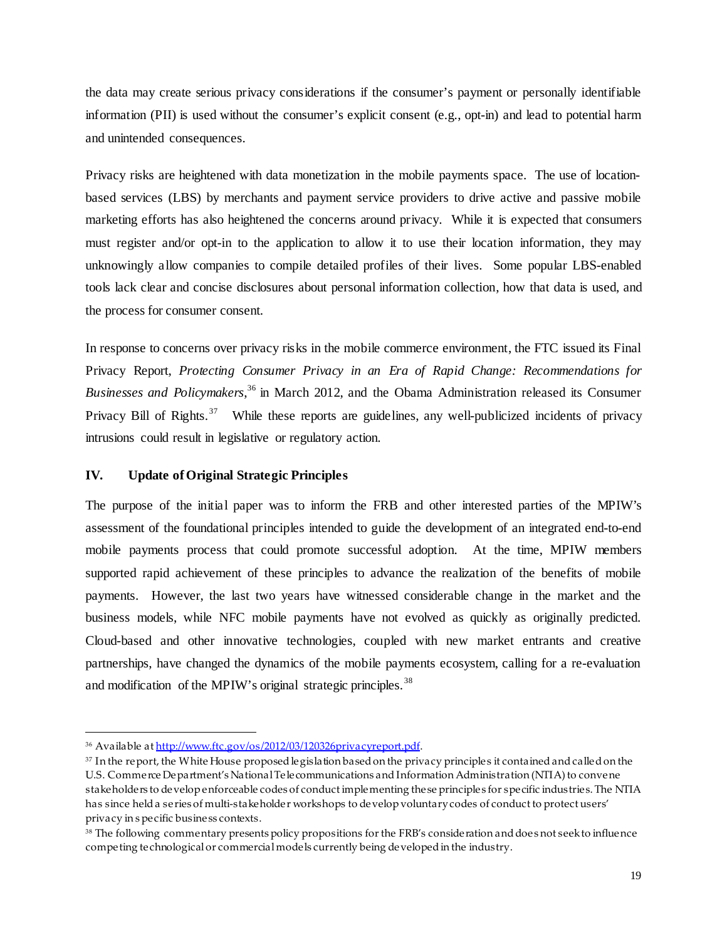the data may create serious privacy considerations if the consumer's payment or personally identifiable information (PII) is used without the consumer's explicit consent (e.g., opt-in) and lead to potential harm and unintended consequences.

Privacy risks are heightened with data monetization in the mobile payments space. The use of locationbased services (LBS) by merchants and payment service providers to drive active and passive mobile marketing efforts has also heightened the concerns around privacy. While it is expected that consumers must register and/or opt-in to the application to allow it to use their location information, they may unknowingly allow companies to compile detailed profiles of their lives. Some popular LBS-enabled tools lack clear and concise disclosures about personal information collection, how that data is used, and the process for consumer consent.

In response to concerns over privacy risks in the mobile commerce environment, the FTC issued its Final Privacy Report, *Protecting Consumer Privacy in an Era of Rapid Change: Recommendations for Businesses and Policymakers*, [36](#page-18-1) in March 2012, and the Obama Administration released its Consumer Privacy Bill of Rights.<sup>[37](#page-18-2)</sup> While these reports are guidelines, any well-publicized incidents of privacy intrusions could result in legislative or regulatory action.

# <span id="page-18-0"></span>**IV. Update of Original Strategic Principles**

The purpose of the initial paper was to inform the FRB and other interested parties of the MPIW's assessment of the foundational principles intended to guide the development of an integrated end-to-end mobile payments process that could promote successful adoption. At the time, MPIW members supported rapid achievement of these principles to advance the realization of the benefits of mobile payments. However, the last two years have witnessed considerable change in the market and the business models, while NFC mobile payments have not evolved as quickly as originally predicted. Cloud-based and other innovative technologies, coupled with new market entrants and creative partnerships, have changed the dynamics of the mobile payments ecosystem, calling for a re-evaluation and modification of the MPIW's original strategic principles.<sup>[38](#page-18-3)</sup>

<span id="page-18-1"></span><sup>36</sup> Available a[t http://www.ftc.gov/os/2012/03/120326privacyreport.pdf](http://www.ftc.gov/os/2012/03/120326privacyreport.pdf).

<span id="page-18-2"></span><sup>37</sup> In the report, the White House proposed legislation based on the privacy principles it contained and called on the U.S. Commerce Department's National Telecommunications and Information Administration (NTIA) to convene stakeholders to develop enforceable codes of conduct implementing these principles for specific industries. The NTIA has since held a series of multi-stakeholder workshops to develop voluntary codes of conduct to protect users' privacy in s pecific business contexts.

<span id="page-18-3"></span><sup>38</sup> The following commentary presents policy propositions for the FRB's consideration and does not seek to influence competing technological or commercial models currently being developed in the industry.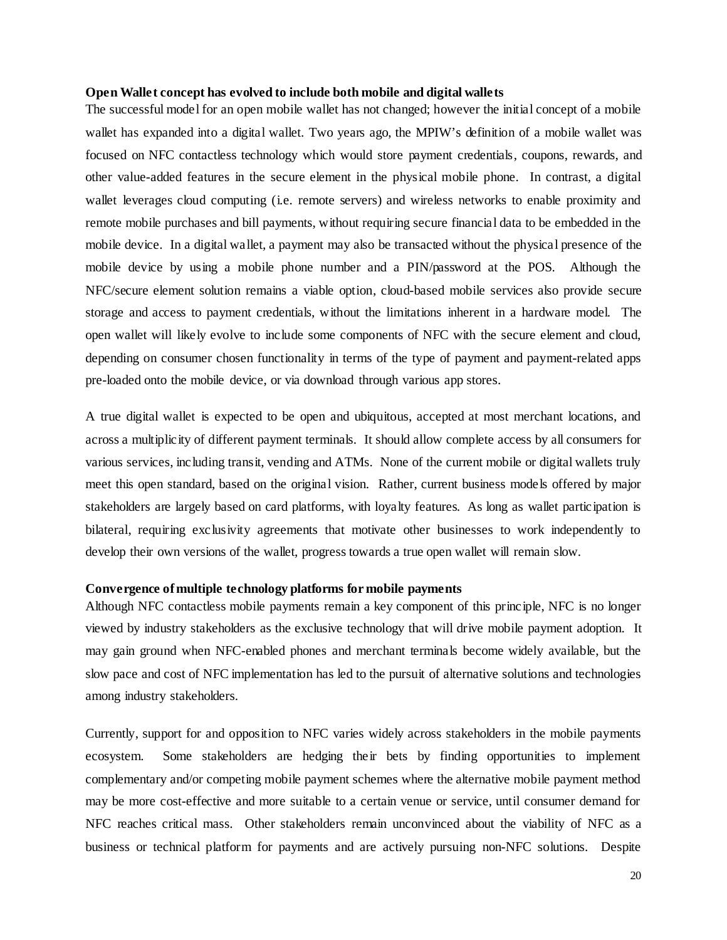# <span id="page-19-0"></span>**Open Wallet concept has evolved to include both mobile and digital wallets**

The successful model for an open mobile wallet has not changed; however the initial concept of a mobile wallet has expanded into a digital wallet. Two years ago, the MPIW's definition of a mobile wallet was focused on NFC contactless technology which would store payment credentials, coupons, rewards, and other value-added features in the secure element in the physical mobile phone. In contrast, a digital wallet leverages cloud computing (i.e. remote servers) and wireless networks to enable proximity and remote mobile purchases and bill payments, without requiring secure financial data to be embedded in the mobile device. In a digital wallet, a payment may also be transacted without the physical presence of the mobile device by using a mobile phone number and a PIN/password at the POS. Although the NFC/secure element solution remains a viable option, cloud-based mobile services also provide secure storage and access to payment credentials, without the limitations inherent in a hardware model. The open wallet will likely evolve to include some components of NFC with the secure element and cloud, depending on consumer chosen functionality in terms of the type of payment and payment-related apps pre-loaded onto the mobile device, or via download through various app stores.

A true digital wallet is expected to be open and ubiquitous, accepted at most merchant locations, and across a multiplicity of different payment terminals. It should allow complete access by all consumers for various services, including transit, vending and ATMs. None of the current mobile or digital wallets truly meet this open standard, based on the original vision. Rather, current business models offered by major stakeholders are largely based on card platforms, with loyalty features. As long as wallet participation is bilateral, requiring exclusivity agreements that motivate other businesses to work independently to develop their own versions of the wallet, progress towards a true open wallet will remain slow.

#### <span id="page-19-1"></span>**Convergence of multiple technology platforms for mobile payments**

Although NFC contactless mobile payments remain a key component of this principle, NFC is no longer viewed by industry stakeholders as the exclusive technology that will drive mobile payment adoption. It may gain ground when NFC-enabled phones and merchant terminals become widely available, but the slow pace and cost of NFC implementation has led to the pursuit of alternative solutions and technologies among industry stakeholders.

Currently, support for and opposition to NFC varies widely across stakeholders in the mobile payments ecosystem. Some stakeholders are hedging their bets by finding opportunities to implement complementary and/or competing mobile payment schemes where the alternative mobile payment method may be more cost-effective and more suitable to a certain venue or service, until consumer demand for NFC reaches critical mass. Other stakeholders remain unconvinced about the viability of NFC as a business or technical platform for payments and are actively pursuing non-NFC solutions. Despite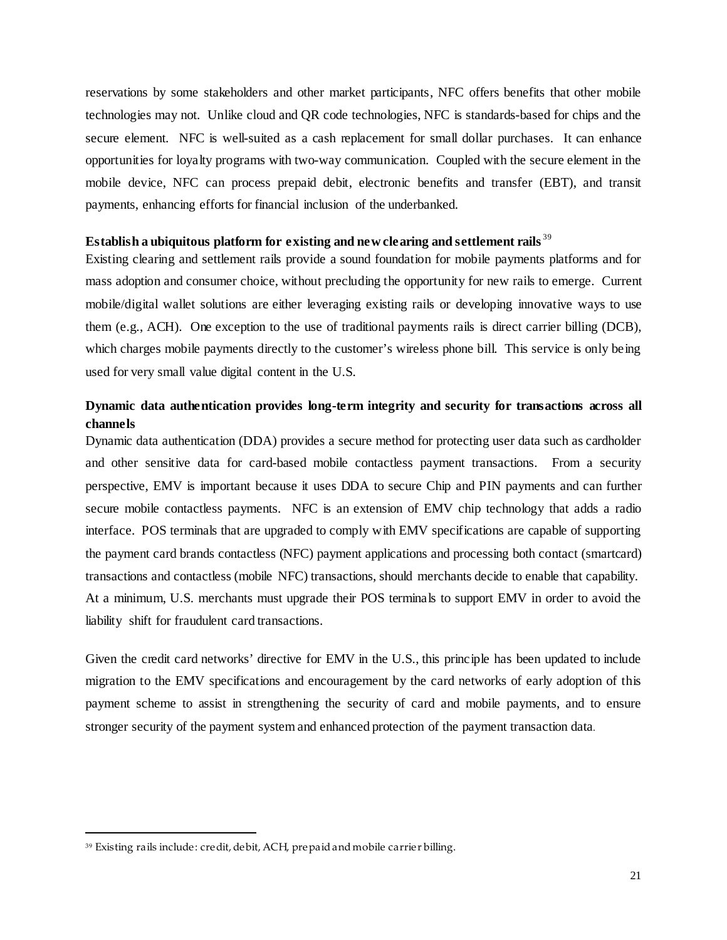reservations by some stakeholders and other market participants, NFC offers benefits that other mobile technologies may not. Unlike cloud and QR code technologies, NFC is standards-based for chips and the secure element. NFC is well-suited as a cash replacement for small dollar purchases. It can enhance opportunities for loyalty programs with two-way communication. Coupled with the secure element in the mobile device, NFC can process prepaid debit, electronic benefits and transfer (EBT), and transit payments, enhancing efforts for financial inclusion of the underbanked.

# <span id="page-20-0"></span>**Establish a ubiquitous platform for existing and new clearing and settlement rails** [39](#page-20-3)

Existing clearing and settlement rails provide a sound foundation for mobile payments platforms and for mass adoption and consumer choice, without precluding the opportunity for new rails to emerge. Current mobile/digital wallet solutions are either leveraging existing rails or developing innovative ways to use them (e.g., ACH). One exception to the use of traditional payments rails is direct carrier billing (DCB), which charges mobile payments directly to the customer's wireless phone bill. This service is only being used for very small value digital content in the U.S.

# <span id="page-20-1"></span>**Dynamic data authentication provides long-term integrity and security for transactions across all channels**

Dynamic data authentication (DDA) provides a secure method for protecting user data such as cardholder and other sensitive data for card-based mobile contactless payment transactions. From a security perspective, EMV is important because it uses DDA to secure Chip and PIN payments and can further secure mobile contactless payments. NFC is an extension of EMV chip technology that adds a radio interface. POS terminals that are upgraded to comply with EMV specifications are capable of supporting the payment card brands contactless (NFC) payment applications and processing both contact (smartcard) transactions and contactless (mobile NFC) transactions, should merchants decide to enable that capability. At a minimum, U.S. merchants must upgrade their POS terminals to support EMV in order to avoid the liability shift for fraudulent card transactions.

Given the credit card networks' directive for EMV in the U.S., this principle has been updated to include migration to the EMV specifications and encouragement by the card networks of early adoption of this payment scheme to assist in strengthening the security of card and mobile payments, and to ensure stronger security of the payment system and enhanced protection of the payment transaction data.

<span id="page-20-3"></span><span id="page-20-2"></span><sup>39</sup> Existing rails include: credit, debit, ACH, prepaid and mobile carrier billing.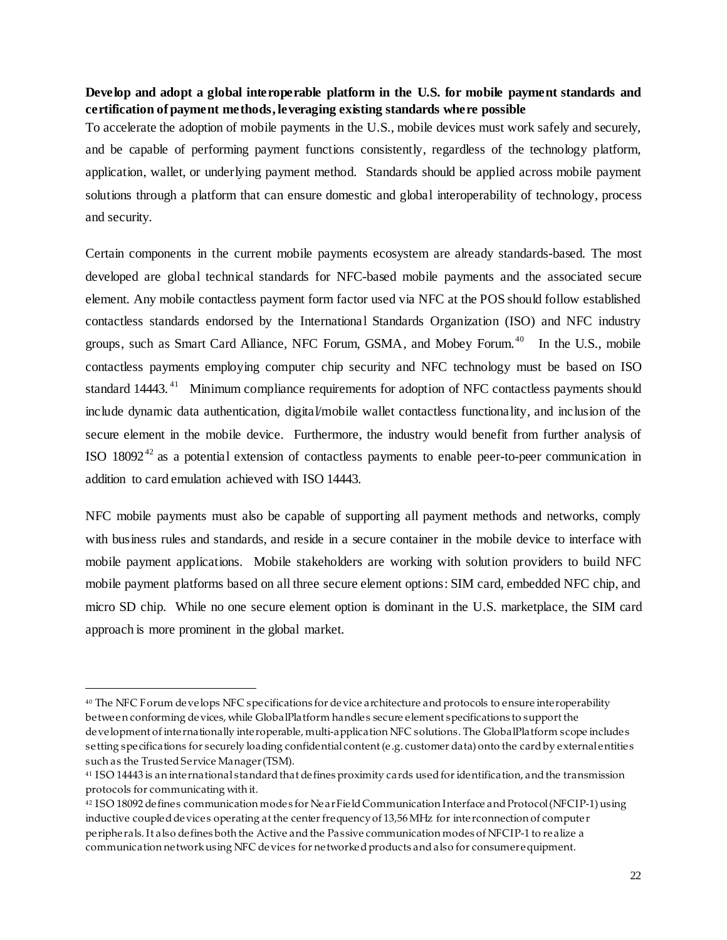# **Develop and adopt a global interoperable platform in the U.S. for mobile payment standards and certification of payment methods, leveraging existing standards where possible**

To accelerate the adoption of mobile payments in the U.S., mobile devices must work safely and securely, and be capable of performing payment functions consistently, regardless of the technology platform, application, wallet, or underlying payment method. Standards should be applied across mobile payment solutions through a platform that can ensure domestic and global interoperability of technology, process and security.

Certain components in the current mobile payments ecosystem are already standards-based. The most developed are global technical standards for NFC-based mobile payments and the associated secure element. Any mobile contactless payment form factor used via NFC at the POS should follow established contactless standards endorsed by the International Standards Organization (ISO) and NFC industry groups, such as Smart Card Alliance, NFC Forum, GSMA, and Mobey Forum.<sup>40</sup> In the U.S., mobile contactless payments employing computer chip security and NFC technology must be based on ISO standard 14443.<sup>41</sup> Minimum compliance requirements for adoption of NFC contactless payments should include dynamic data authentication, digital/mobile wallet contactless functionality, and inclusion of the secure element in the mobile device. Furthermore, the industry would benefit from further analysis of ISO  $18092^{42}$  $18092^{42}$  $18092^{42}$  as a potential extension of contactless payments to enable peer-to-peer communication in addition to card emulation achieved with ISO 14443.

NFC mobile payments must also be capable of supporting all payment methods and networks, comply with business rules and standards, and reside in a secure container in the mobile device to interface with mobile payment applications. Mobile stakeholders are working with solution providers to build NFC mobile payment platforms based on all three secure element options: SIM card, embedded NFC chip, and micro SD chip. While no one secure element option is dominant in the U.S. marketplace, the SIM card approach is more prominent in the global market.

<span id="page-21-0"></span><sup>40</sup> The NFC Forum develops NFC specifications for device architecture and protocols to ensure interoperability between conforming devices, while GlobalPlatform handles secure element specifications to support the development of internationally interoperable, multi-application NFC solutions. The GlobalPlatform scope includes setting specifications for securely loading confidential content (e.g. customer data) onto the card by external entities such as the Trusted Service Manager (TSM).

<span id="page-21-1"></span><sup>41</sup> ISO 14443 is an international standard that defines proximity cards used for identification, and the transmission protocols for communicating with it.

<span id="page-21-2"></span><sup>42</sup> ISO 18092 defines communication modes for Near Field Communication Interface and Protocol (NFCIP-1) using inductive coupled devices operating at the center frequency of 13,56 MHz for interconnection of computer peripherals. It also defines both the Active and the Passive communication modes of NFCIP-1 to realize a communication network using NFC devices for networked products and also for consumer equipment.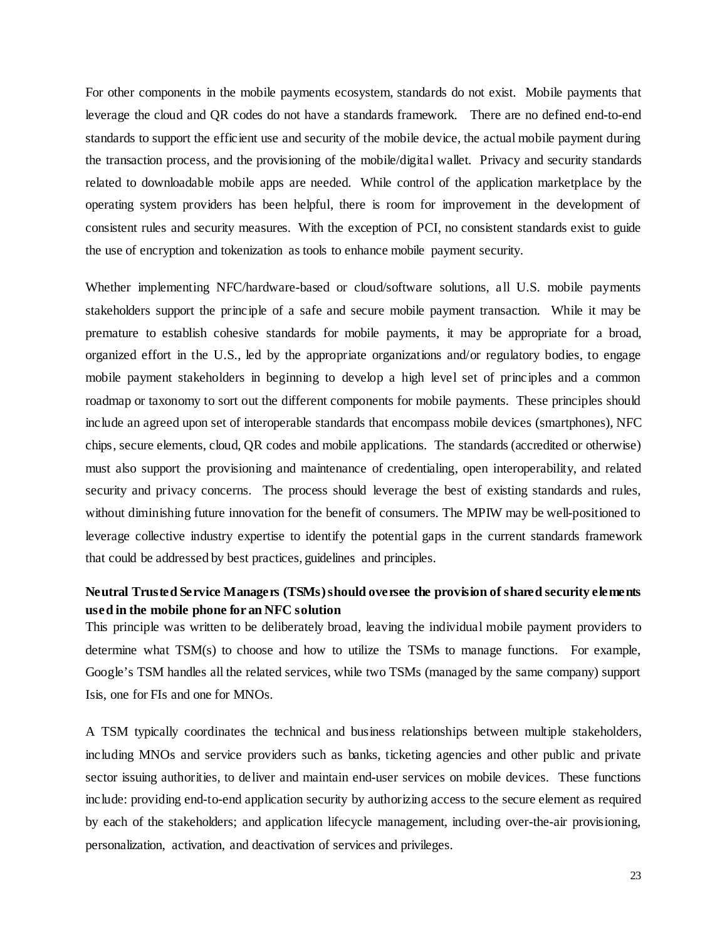For other components in the mobile payments ecosystem, standards do not exist. Mobile payments that leverage the cloud and QR codes do not have a standards framework. There are no defined end-to-end standards to support the efficient use and security of the mobile device, the actual mobile payment during the transaction process, and the provisioning of the mobile/digital wallet. Privacy and security standards related to downloadable mobile apps are needed. While control of the application marketplace by the operating system providers has been helpful, there is room for improvement in the development of consistent rules and security measures. With the exception of PCI, no consistent standards exist to guide the use of encryption and tokenization as tools to enhance mobile payment security.

Whether implementing NFC/hardware-based or cloud/software solutions, all U.S. mobile payments stakeholders support the principle of a safe and secure mobile payment transaction. While it may be premature to establish cohesive standards for mobile payments, it may be appropriate for a broad, organized effort in the U.S., led by the appropriate organizations and/or regulatory bodies, to engage mobile payment stakeholders in beginning to develop a high level set of principles and a common roadmap or taxonomy to sort out the different components for mobile payments. These principles should include an agreed upon set of interoperable standards that encompass mobile devices (smartphones), NFC chips, secure elements, cloud, QR codes and mobile applications. The standards (accredited or otherwise) must also support the provisioning and maintenance of credentialing, open interoperability, and related security and privacy concerns. The process should leverage the best of existing standards and rules, without diminishing future innovation for the benefit of consumers. The MPIW may be well-positioned to leverage collective industry expertise to identify the potential gaps in the current standards framework that could be addressed by best practices, guidelines and principles.

# <span id="page-22-0"></span>**Neutral Trusted Service Managers (TSMs) should oversee the provision of shared security elements used in the mobile phone for an NFC solution**

This principle was written to be deliberately broad, leaving the individual mobile payment providers to determine what TSM(s) to choose and how to utilize the TSMs to manage functions. For example, Google's TSM handles all the related services, while two TSMs (managed by the same company) support Isis, one for FIs and one for MNOs.

A TSM typically coordinates the technical and business relationships between multiple stakeholders, including MNOs and service providers such as banks, ticketing agencies and other public and private sector issuing authorities, to deliver and maintain end-user services on mobile devices. These functions include: providing end-to-end application security by authorizing access to the secure element as required by each of the stakeholders; and application lifecycle management, including over-the-air provisioning, personalization, activation, and deactivation of services and privileges.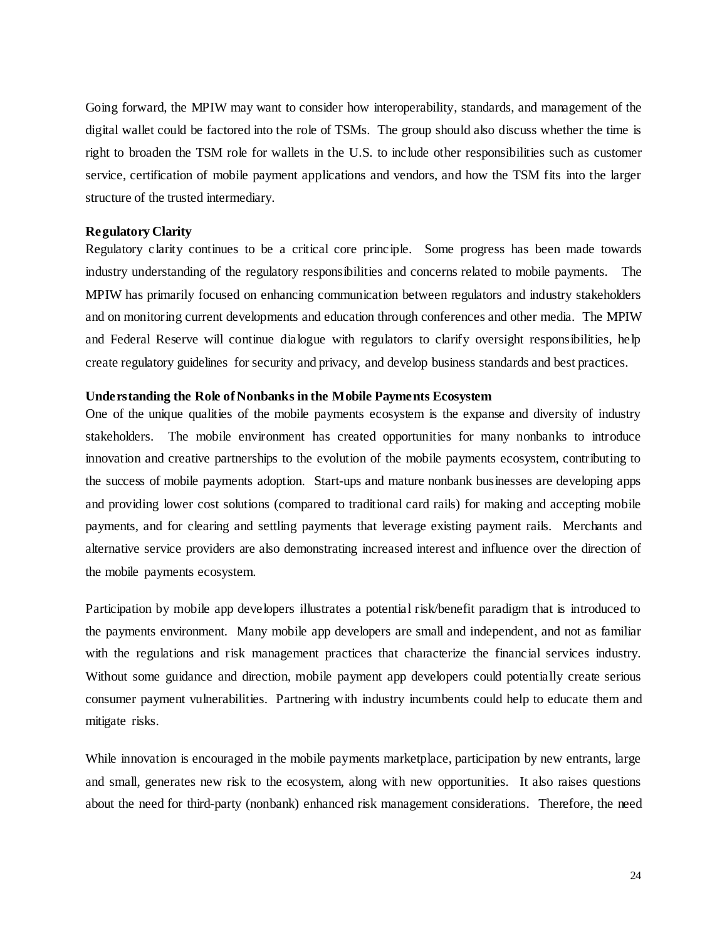Going forward, the MPIW may want to consider how interoperability, standards, and management of the digital wallet could be factored into the role of TSMs. The group should also discuss whether the time is right to broaden the TSM role for wallets in the U.S. to include other responsibilities such as customer service, certification of mobile payment applications and vendors, and how the TSM fits into the larger structure of the trusted intermediary.

# <span id="page-23-0"></span>**Regulatory Clarity**

Regulatory clarity continues to be a critical core principle. Some progress has been made towards industry understanding of the regulatory responsibilities and concerns related to mobile payments. The MPIW has primarily focused on enhancing communication between regulators and industry stakeholders and on monitoring current developments and education through conferences and other media. The MPIW and Federal Reserve will continue dialogue with regulators to clarify oversight responsibilities, help create regulatory guidelines for security and privacy, and develop business standards and best practices.

#### <span id="page-23-1"></span>**Understanding the Role of Nonbanks in the Mobile Payments Ecosystem**

One of the unique qualities of the mobile payments ecosystem is the expanse and diversity of industry stakeholders. The mobile environment has created opportunities for many nonbanks to introduce innovation and creative partnerships to the evolution of the mobile payments ecosystem, contributing to the success of mobile payments adoption. Start-ups and mature nonbank businesses are developing apps and providing lower cost solutions (compared to traditional card rails) for making and accepting mobile payments, and for clearing and settling payments that leverage existing payment rails. Merchants and alternative service providers are also demonstrating increased interest and influence over the direction of the mobile payments ecosystem.

Participation by mobile app developers illustrates a potential risk/benefit paradigm that is introduced to the payments environment. Many mobile app developers are small and independent, and not as familiar with the regulations and risk management practices that characterize the financial services industry. Without some guidance and direction, mobile payment app developers could potentially create serious consumer payment vulnerabilities. Partnering with industry incumbents could help to educate them and mitigate risks.

While innovation is encouraged in the mobile payments marketplace, participation by new entrants, large and small, generates new risk to the ecosystem, along with new opportunities. It also raises questions about the need for third-party (nonbank) enhanced risk management considerations. Therefore, the need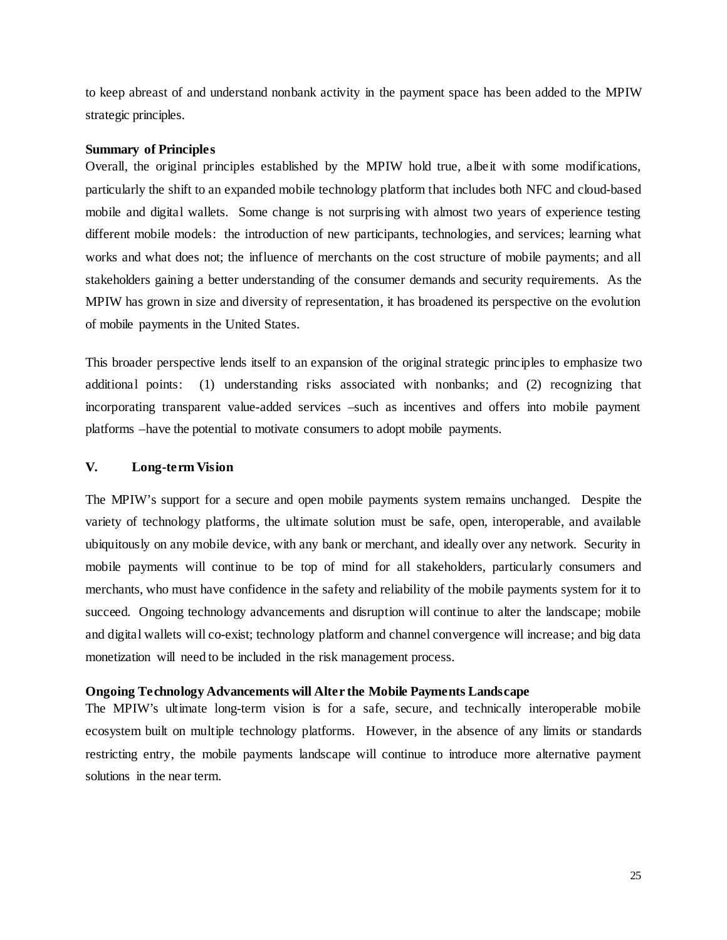to keep abreast of and understand nonbank activity in the payment space has been added to the MPIW strategic principles.

# <span id="page-24-0"></span>**Summary of Principles**

Overall, the original principles established by the MPIW hold true, albeit with some modifications, particularly the shift to an expanded mobile technology platform that includes both NFC and cloud-based mobile and digital wallets. Some change is not surprising with almost two years of experience testing different mobile models: the introduction of new participants, technologies, and services; learning what works and what does not; the influence of merchants on the cost structure of mobile payments; and all stakeholders gaining a better understanding of the consumer demands and security requirements. As the MPIW has grown in size and diversity of representation, it has broadened its perspective on the evolution of mobile payments in the United States.

This broader perspective lends itself to an expansion of the original strategic principles to emphasize two additional points: (1) understanding risks associated with nonbanks; and (2) recognizing that incorporating transparent value-added services –such as incentives and offers into mobile payment platforms –have the potential to motivate consumers to adopt mobile payments.

# <span id="page-24-1"></span>**V. Long-term Vision**

The MPIW's support for a secure and open mobile payments system remains unchanged. Despite the variety of technology platforms, the ultimate solution must be safe, open, interoperable, and available ubiquitously on any mobile device, with any bank or merchant, and ideally over any network. Security in mobile payments will continue to be top of mind for all stakeholders, particularly consumers and merchants, who must have confidence in the safety and reliability of the mobile payments system for it to succeed. Ongoing technology advancements and disruption will continue to alter the landscape; mobile and digital wallets will co-exist; technology platform and channel convergence will increase; and big data monetization will need to be included in the risk management process.

# <span id="page-24-2"></span>**Ongoing Technology Advancements will Alter the Mobile Payments Landscape**

<span id="page-24-3"></span>The MPIW's ultimate long-term vision is for a safe, secure, and technically interoperable mobile ecosystem built on multiple technology platforms. However, in the absence of any limits or standards restricting entry, the mobile payments landscape will continue to introduce more alternative payment solutions in the near term.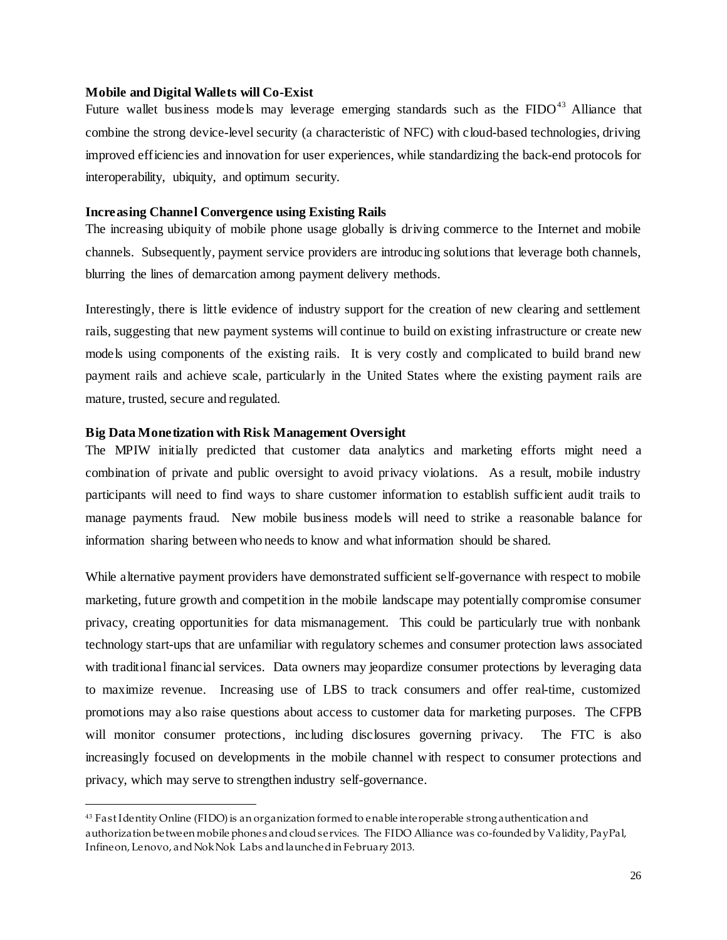## **Mobile and Digital Wallets will Co-Exist**

Future wallet business models may leverage emerging standards such as the  $FIDO^{43}$  $FIDO^{43}$  $FIDO^{43}$  Alliance that combine the strong device-level security (a characteristic of NFC) with cloud-based technologies, driving improved efficiencies and innovation for user experiences, while standardizing the back-end protocols for interoperability, ubiquity, and optimum security.

# <span id="page-25-0"></span>**Increasing Channel Convergence using Existing Rails**

The increasing ubiquity of mobile phone usage globally is driving commerce to the Internet and mobile channels. Subsequently, payment service providers are introducing solutions that leverage both channels, blurring the lines of demarcation among payment delivery methods.

Interestingly, there is little evidence of industry support for the creation of new clearing and settlement rails, suggesting that new payment systems will continue to build on existing infrastructure or create new models using components of the existing rails. It is very costly and complicated to build brand new payment rails and achieve scale, particularly in the United States where the existing payment rails are mature, trusted, secure and regulated.

# <span id="page-25-1"></span>**Big Data Monetization with Risk Management Oversight**

 $\overline{a}$ 

The MPIW initially predicted that customer data analytics and marketing efforts might need a combination of private and public oversight to avoid privacy violations. As a result, mobile industry participants will need to find ways to share customer information to establish sufficient audit trails to manage payments fraud. New mobile business models will need to strike a reasonable balance for information sharing between who needs to know and what information should be shared.

While alternative payment providers have demonstrated sufficient self-governance with respect to mobile marketing, future growth and competition in the mobile landscape may potentially compromise consumer privacy, creating opportunities for data mismanagement. This could be particularly true with nonbank technology start-ups that are unfamiliar with regulatory schemes and consumer protection laws associated with traditional financial services. Data owners may jeopardize consumer protections by leveraging data to maximize revenue. Increasing use of LBS to track consumers and offer real-time, customized promotions may also raise questions about access to customer data for marketing purposes. The CFPB will monitor consumer protections, including disclosures governing privacy. The FTC is also increasingly focused on developments in the mobile channel with respect to consumer protections and privacy, which may serve to strengthen industry self-governance.

<span id="page-25-2"></span><sup>43</sup> Fast Identity Online (FIDO) is an organization formed to enable interoperable strong authentication and authorization between mobile phones and cloud services. The FIDO Alliance was co-founded by Validity, PayPal, Infineon, Lenovo, and Nok Nok Labs and launched in February 2013.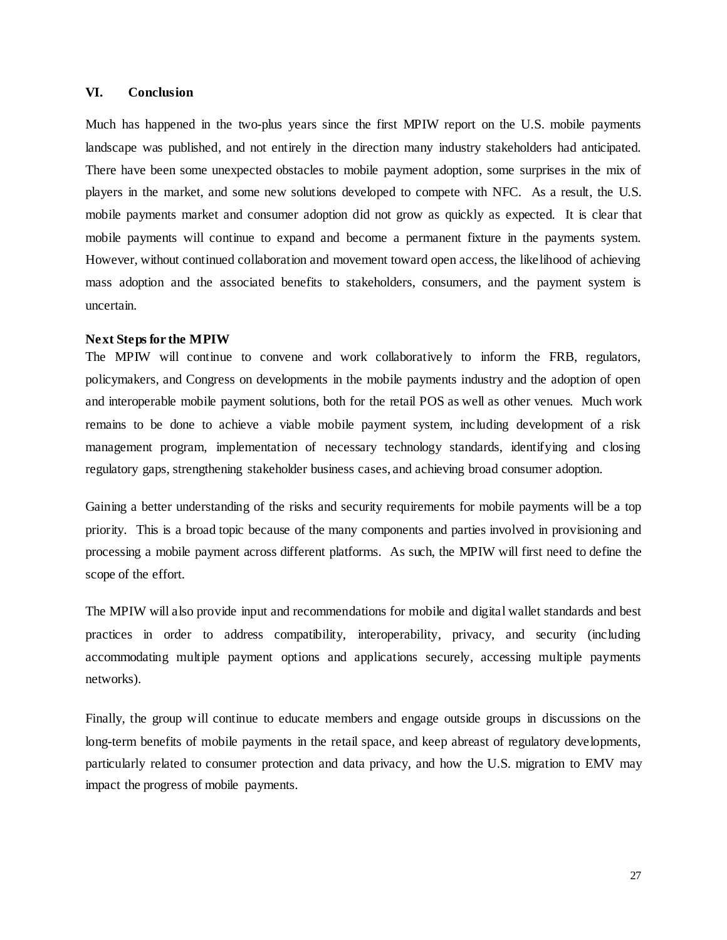# <span id="page-26-0"></span>**VI. Conclusion**

Much has happened in the two-plus years since the first MPIW report on the U.S. mobile payments landscape was published, and not entirely in the direction many industry stakeholders had anticipated. There have been some unexpected obstacles to mobile payment adoption, some surprises in the mix of players in the market, and some new solutions developed to compete with NFC. As a result, the U.S. mobile payments market and consumer adoption did not grow as quickly as expected. It is clear that mobile payments will continue to expand and become a permanent fixture in the payments system. However, without continued collaboration and movement toward open access, the likelihood of achieving mass adoption and the associated benefits to stakeholders, consumers, and the payment system is uncertain.

# <span id="page-26-1"></span>**Next Steps for the MPIW**

The MPIW will continue to convene and work collaboratively to inform the FRB, regulators, policymakers, and Congress on developments in the mobile payments industry and the adoption of open and interoperable mobile payment solutions, both for the retail POS as well as other venues. Much work remains to be done to achieve a viable mobile payment system, including development of a risk management program, implementation of necessary technology standards, identifying and closing regulatory gaps, strengthening stakeholder business cases, and achieving broad consumer adoption.

Gaining a better understanding of the risks and security requirements for mobile payments will be a top priority. This is a broad topic because of the many components and parties involved in provisioning and processing a mobile payment across different platforms. As such, the MPIW will first need to define the scope of the effort.

The MPIW will also provide input and recommendations for mobile and digital wallet standards and best practices in order to address compatibility, interoperability, privacy, and security (including accommodating multiple payment options and applications securely, accessing multiple payments networks).

<span id="page-26-2"></span>Finally, the group will continue to educate members and engage outside groups in discussions on the long-term benefits of mobile payments in the retail space, and keep abreast of regulatory developments, particularly related to consumer protection and data privacy, and how the U.S. migration to EMV may impact the progress of mobile payments.